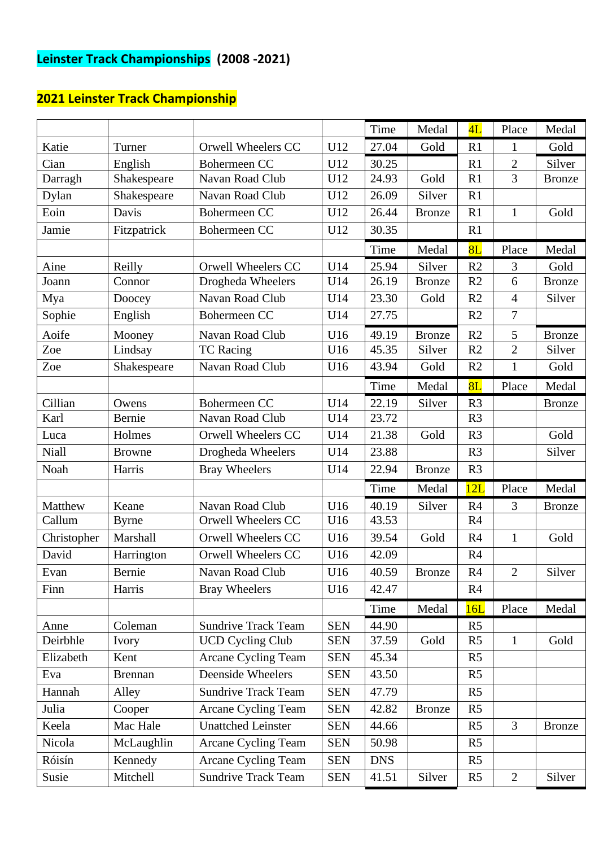# **Leinster Track Championships (2008 -2021)**

|              |                |                            |            | Time       | Medal         | 4L             | Place          | Medal         |
|--------------|----------------|----------------------------|------------|------------|---------------|----------------|----------------|---------------|
| Katie        | Turner         | Orwell Wheelers CC         | U12        | 27.04      | Gold          | R1             | 1              | Gold          |
| Cian         | English        | Bohermeen CC               | U12        | 30.25      |               | R1             | $\overline{2}$ | Silver        |
| Darragh      | Shakespeare    | Navan Road Club            | U12        | 24.93      | Gold          | R1             | $\overline{3}$ | <b>Bronze</b> |
| Dylan        | Shakespeare    | Navan Road Club            | U12        | 26.09      | Silver        | R1             |                |               |
| Eoin         | Davis          | Bohermeen CC               | U12        | 26.44      | <b>Bronze</b> | R1             | 1              | Gold          |
| Jamie        | Fitzpatrick    | Bohermeen CC               | U12        | 30.35      |               | R1             |                |               |
|              |                |                            |            | Time       | Medal         | 8L             | Place          | Medal         |
| Aine         | Reilly         | Orwell Wheelers CC         | U14        | 25.94      | Silver        | R <sub>2</sub> | 3              | Gold          |
| Joann        | Connor         | Drogheda Wheelers          | U14        | 26.19      | <b>Bronze</b> | R2             | 6              | <b>Bronze</b> |
| Mya          | Doocey         | Navan Road Club            | U14        | 23.30      | Gold          | R2             | $\overline{4}$ | Silver        |
| Sophie       | English        | Bohermeen CC               | U14        | 27.75      |               | R2             | 7              |               |
| Aoife        | Mooney         | Navan Road Club            | U16        | 49.19      | <b>Bronze</b> | R2             | 5              | <b>Bronze</b> |
| Zoe          | Lindsay        | <b>TC</b> Racing           | U16        | 45.35      | Silver        | R2             | $\overline{2}$ | Silver        |
| Zoe          | Shakespeare    | Navan Road Club            | U16        | 43.94      | Gold          | R2             | $\mathbf{1}$   | Gold          |
|              |                |                            |            | Time       | Medal         | 8L             | Place          | Medal         |
| Cillian      | Owens          | Bohermeen CC               | U14        | 22.19      | Silver        | R <sub>3</sub> |                | <b>Bronze</b> |
| Karl         | Bernie         | Navan Road Club            | U14        | 23.72      |               | R <sub>3</sub> |                |               |
| Luca         | Holmes         | Orwell Wheelers CC         | U14        | 21.38      | Gold          | R <sub>3</sub> |                | Gold          |
| <b>Niall</b> | <b>Browne</b>  | Drogheda Wheelers          | U14        | 23.88      |               | R <sub>3</sub> |                | Silver        |
| Noah         | Harris         | <b>Bray Wheelers</b>       | U14        | 22.94      | <b>Bronze</b> | R <sub>3</sub> |                |               |
|              |                |                            |            | Time       | Medal         | 12L            | Place          | Medal         |
| Matthew      | Keane          | Navan Road Club            | U16        | 40.19      | Silver        | R <sub>4</sub> | 3              | <b>Bronze</b> |
| Callum       | <b>Byrne</b>   | Orwell Wheelers CC         | U16        | 43.53      |               | R <sub>4</sub> |                |               |
| Christopher  | Marshall       | Orwell Wheelers CC         | U16        | 39.54      | Gold          | R <sub>4</sub> | $\mathbf{1}$   | Gold          |
| David        | Harrington     | Orwell Wheelers CC         | U16        | 42.09      |               | R4             |                |               |
| Evan         | Bernie         | Navan Road Club            | U16        | 40.59      | Bronze        | R4             | $\overline{2}$ | Silver        |
| Finn         | Harris         | <b>Bray Wheelers</b>       | U16        | 42.47      |               | R <sub>4</sub> |                |               |
|              |                |                            |            | Time       | Medal         | 16L            | Place          | Medal         |
| Anne         | Coleman        | <b>Sundrive Track Team</b> | <b>SEN</b> | 44.90      |               | R <sub>5</sub> |                |               |
| Deirbhle     | Ivory          | <b>UCD Cycling Club</b>    | <b>SEN</b> | 37.59      | Gold          | R <sub>5</sub> | $\mathbf{1}$   | Gold          |
| Elizabeth    | Kent           | <b>Arcane Cycling Team</b> | <b>SEN</b> | 45.34      |               | R <sub>5</sub> |                |               |
| Eva          | <b>Brennan</b> | Deenside Wheelers          | <b>SEN</b> | 43.50      |               | R <sub>5</sub> |                |               |
| Hannah       | Alley          | <b>Sundrive Track Team</b> | <b>SEN</b> | 47.79      |               | R <sub>5</sub> |                |               |
| Julia        | Cooper         | Arcane Cycling Team        | <b>SEN</b> | 42.82      | <b>Bronze</b> | R <sub>5</sub> |                |               |
| Keela        | Mac Hale       | <b>Unattched Leinster</b>  | <b>SEN</b> | 44.66      |               | R <sub>5</sub> | 3              | <b>Bronze</b> |
| Nicola       | McLaughlin     | Arcane Cycling Team        | <b>SEN</b> | 50.98      |               | R <sub>5</sub> |                |               |
| Róisín       | Kennedy        | Arcane Cycling Team        | <b>SEN</b> | <b>DNS</b> |               | R <sub>5</sub> |                |               |
| Susie        | Mitchell       | <b>Sundrive Track Team</b> | <b>SEN</b> | 41.51      | Silver        | R <sub>5</sub> | $\overline{2}$ | Silver        |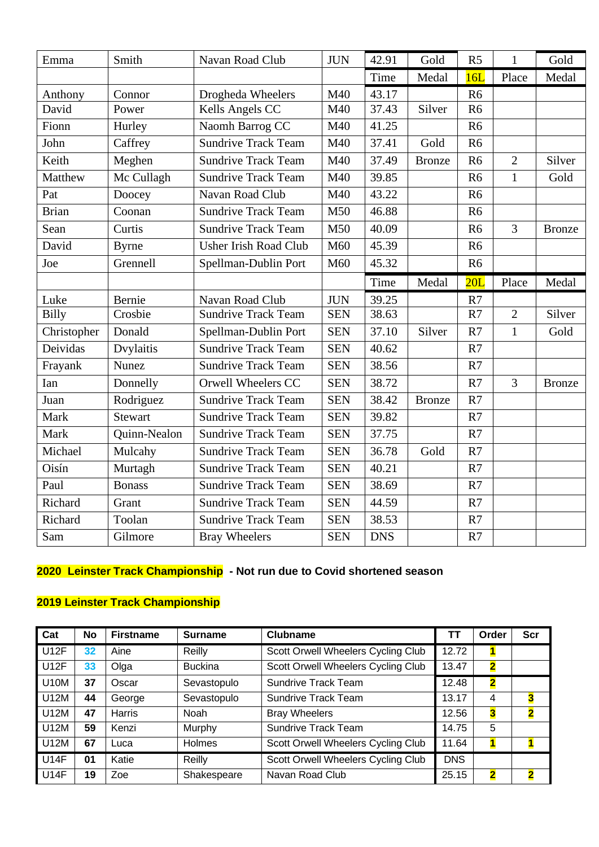| Emma         | Smith          | Navan Road Club              | <b>JUN</b> | 42.91      | Gold          | R <sub>5</sub> | $\mathbf{1}$   | Gold          |
|--------------|----------------|------------------------------|------------|------------|---------------|----------------|----------------|---------------|
|              |                |                              |            | Time       | Medal         | 16L            | Place          | Medal         |
| Anthony      | Connor         | Drogheda Wheelers            | M40        | 43.17      |               | R <sub>6</sub> |                |               |
| David        | Power          | Kells Angels CC              | M40        | 37.43      | Silver        | R <sub>6</sub> |                |               |
| Fionn        | Hurley         | Naomh Barrog CC              | M40        | 41.25      |               | R <sub>6</sub> |                |               |
| John         | Caffrey        | <b>Sundrive Track Team</b>   | M40        | 37.41      | Gold          | R <sub>6</sub> |                |               |
| Keith        | Meghen         | <b>Sundrive Track Team</b>   | M40        | 37.49      | <b>Bronze</b> | R <sub>6</sub> | $\overline{2}$ | Silver        |
| Matthew      | Mc Cullagh     | <b>Sundrive Track Team</b>   | M40        | 39.85      |               | R <sub>6</sub> | $\mathbf{1}$   | Gold          |
| Pat          | Doocey         | Navan Road Club              | M40        | 43.22      |               | R <sub>6</sub> |                |               |
| <b>Brian</b> | Coonan         | <b>Sundrive Track Team</b>   | M50        | 46.88      |               | R <sub>6</sub> |                |               |
| Sean         | Curtis         | <b>Sundrive Track Team</b>   | M50        | 40.09      |               | R <sub>6</sub> | $\overline{3}$ | <b>Bronze</b> |
| David        | <b>Byrne</b>   | <b>Usher Irish Road Club</b> | M60        | 45.39      |               | R <sub>6</sub> |                |               |
| Joe          | Grennell       | Spellman-Dublin Port         | M60        | 45.32      |               | R <sub>6</sub> |                |               |
|              |                |                              |            | Time       | Medal         | 20L            | Place          | Medal         |
| Luke         | Bernie         | Navan Road Club              | <b>JUN</b> | 39.25      |               | R7             |                |               |
| <b>Billy</b> | Crosbie        | <b>Sundrive Track Team</b>   | <b>SEN</b> | 38.63      |               | R7             | $\overline{2}$ | Silver        |
| Christopher  | Donald         | Spellman-Dublin Port         | <b>SEN</b> | 37.10      | Silver        | R7             | $\mathbf{1}$   | Gold          |
| Deividas     | Dvylaitis      | <b>Sundrive Track Team</b>   | <b>SEN</b> | 40.62      |               | R7             |                |               |
| Frayank      | <b>Nunez</b>   | <b>Sundrive Track Team</b>   | <b>SEN</b> | 38.56      |               | R7             |                |               |
| Ian          | Donnelly       | Orwell Wheelers CC           | <b>SEN</b> | 38.72      |               | R7             | $\overline{3}$ | <b>Bronze</b> |
| Juan         | Rodriguez      | <b>Sundrive Track Team</b>   | <b>SEN</b> | 38.42      | <b>Bronze</b> | R7             |                |               |
| Mark         | <b>Stewart</b> | <b>Sundrive Track Team</b>   | <b>SEN</b> | 39.82      |               | R7             |                |               |
| Mark         | Quinn-Nealon   | <b>Sundrive Track Team</b>   | <b>SEN</b> | 37.75      |               | R7             |                |               |
| Michael      | Mulcahy        | <b>Sundrive Track Team</b>   | <b>SEN</b> | 36.78      | Gold          | R7             |                |               |
| Oisín        | Murtagh        | <b>Sundrive Track Team</b>   | <b>SEN</b> | 40.21      |               | R7             |                |               |
| Paul         | <b>Bonass</b>  | <b>Sundrive Track Team</b>   | <b>SEN</b> | 38.69      |               | R7             |                |               |
| Richard      | Grant          | <b>Sundrive Track Team</b>   | <b>SEN</b> | 44.59      |               | R7             |                |               |
| Richard      | Toolan         | <b>Sundrive Track Team</b>   | <b>SEN</b> | 38.53      |               | R7             |                |               |
| Sam          | Gilmore        | <b>Bray Wheelers</b>         | <b>SEN</b> | <b>DNS</b> |               | R7             |                |               |

# **2020 Leinster Track Championship - Not run due to Covid shortened season**

| Cat         | <b>No</b> | <b>Firstname</b> | <b>Surname</b> | <b>Clubname</b>                    | דז         | Order                   | <b>Scr</b>              |
|-------------|-----------|------------------|----------------|------------------------------------|------------|-------------------------|-------------------------|
| <b>U12F</b> | 32        | Aine             | Reilly         | Scott Orwell Wheelers Cycling Club | 12.72      |                         |                         |
| <b>U12F</b> | 33        | Olga             | <b>Buckina</b> | Scott Orwell Wheelers Cycling Club | 13.47      | $\overline{\mathbf{2}}$ |                         |
| <b>U10M</b> | 37        | Oscar            | Sevastopulo    | <b>Sundrive Track Team</b>         | 12.48      | $\overline{\mathbf{2}}$ |                         |
| U12M        | 44        | George           | Sevastopulo    | <b>Sundrive Track Team</b>         | 13.17      | 4                       | 3                       |
| <b>U12M</b> | 47        | <b>Harris</b>    | Noah           | <b>Bray Wheelers</b>               | 12.56      | 3                       | $\overline{\mathbf{2}}$ |
| U12M        | 59        | Kenzi            | Murphy         | <b>Sundrive Track Team</b>         | 14.75      | 5                       |                         |
| U12M        | 67        | Luca             | Holmes         | Scott Orwell Wheelers Cycling Club | 11.64      |                         |                         |
| <b>U14F</b> | 01        | Katie            | Reilly         | Scott Orwell Wheelers Cycling Club | <b>DNS</b> |                         |                         |
| <b>U14F</b> | 19        | Zoe              | Shakespeare    | Navan Road Club                    | 25.15      | $\overline{\mathbf{2}}$ | $\overline{\mathbf{2}}$ |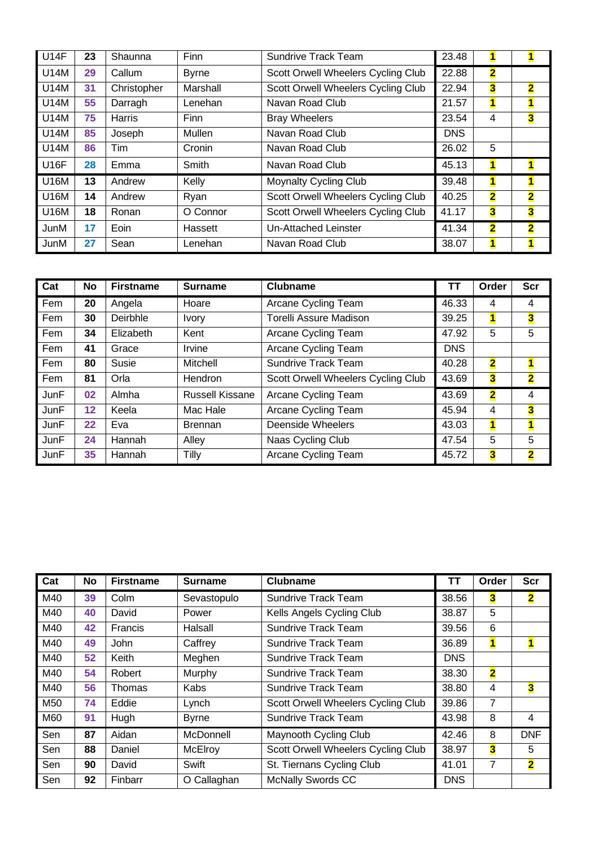| <b>U14F</b> | 23 | Shaunna       | Finn         | <b>Sundrive Track Team</b>         | 23.48      | $\mathbf{1}$            |                         |
|-------------|----|---------------|--------------|------------------------------------|------------|-------------------------|-------------------------|
| <b>U14M</b> | 29 | Callum        | <b>Byrne</b> | Scott Orwell Wheelers Cycling Club | 22.88      | $\overline{\mathbf{2}}$ |                         |
| U14M        | 31 | Christopher   | Marshall     | Scott Orwell Wheelers Cycling Club | 22.94      | $\overline{\mathbf{3}}$ | $\overline{\mathbf{2}}$ |
| U14M        | 55 | Darragh       | Lenehan      | Navan Road Club                    | 21.57      | $\blacksquare$          | $\blacksquare$          |
| U14M        | 75 | <b>Harris</b> | Finn         | <b>Bray Wheelers</b>               | 23.54      | 4                       | 3                       |
| U14M        | 85 | Joseph        | Mullen       | Navan Road Club                    | <b>DNS</b> |                         |                         |
| <b>U14M</b> | 86 | Tim           | Cronin       | Navan Road Club                    | 26.02      | 5                       |                         |
| <b>U16F</b> | 28 | Emma          | Smith        | Navan Road Club                    | 45.13      | $\blacksquare$          | 1                       |
| <b>U16M</b> | 13 | Andrew        | Kelly        | <b>Moynalty Cycling Club</b>       | 39.48      | $\overline{\mathbf{1}}$ | $\blacksquare$          |
| <b>U16M</b> | 14 | Andrew        | Ryan         | Scott Orwell Wheelers Cycling Club | 40.25      | $\overline{\mathbf{2}}$ | $\overline{\mathbf{2}}$ |
| <b>U16M</b> | 18 | Ronan         | O Connor     | Scott Orwell Wheelers Cycling Club | 41.17      | 3                       | $\overline{\mathbf{3}}$ |
| JunM        | 17 | Eoin          | Hassett      | Un-Attached Leinster               | 41.34      | $\overline{\mathbf{2}}$ | $\overline{\mathbf{2}}$ |
| JunM        | 27 | Sean          | Lenehan      | Navan Road Club                    | 38.07      | 1                       |                         |

| Cat         | <b>No</b> | <b>Firstname</b> | <b>Surname</b>         | <b>Clubname</b>                    | ТΤ         | Order                   | <b>Scr</b>              |
|-------------|-----------|------------------|------------------------|------------------------------------|------------|-------------------------|-------------------------|
| Fem         | 20        | Angela           | Hoare                  | Arcane Cycling Team                | 46.33      | 4                       | 4                       |
| Fem         | 30        | Deirbhle         | <b>Ivory</b>           | <b>Torelli Assure Madison</b>      | 39.25      | 1                       | 3                       |
| Fem         | 34        | Elizabeth        | Kent                   | Arcane Cycling Team                | 47.92      | 5                       | 5                       |
| Fem         | 41        | Grace            | Irvine                 | Arcane Cycling Team                | <b>DNS</b> |                         |                         |
| Fem         | 80        | <b>Susie</b>     | Mitchell               | <b>Sundrive Track Team</b>         | 40.28      | $\overline{\mathbf{2}}$ | 1                       |
| Fem         | 81        | Orla             | Hendron                | Scott Orwell Wheelers Cycling Club | 43.69      | $\overline{\mathbf{3}}$ | $\overline{\mathbf{2}}$ |
| <b>JunF</b> | 02        | Almha            | <b>Russell Kissane</b> | Arcane Cycling Team                | 43.69      | $\overline{\mathbf{2}}$ | 4                       |
| JunF        | 12        | Keela            | Mac Hale               | Arcane Cycling Team                | 45.94      | 4                       | 3                       |
| <b>JunF</b> | 22        | Eva              | <b>Brennan</b>         | Deenside Wheelers                  | 43.03      | $\overline{\mathbf{1}}$ | $\overline{\mathbf{1}}$ |
| <b>JunF</b> | 24        | Hannah           | Alley                  | Naas Cycling Club                  | 47.54      | 5                       | 5                       |
| <b>JunF</b> | 35        | Hannah           | Tilly                  | Arcane Cycling Team                | 45.72      | 3                       | $\overline{\mathbf{2}}$ |

| Cat | No | <b>Firstname</b> | <b>Surname</b> | <b>Clubname</b>                    | ΤT         | Order                   | <b>Scr</b>              |
|-----|----|------------------|----------------|------------------------------------|------------|-------------------------|-------------------------|
| M40 | 39 | Colm             | Sevastopulo    | <b>Sundrive Track Team</b>         | 38.56      | 3                       | $\overline{\mathbf{2}}$ |
| M40 | 40 | David            | Power          | Kells Angels Cycling Club          | 38.87      | 5                       |                         |
| M40 | 42 | Francis          | Halsall        | <b>Sundrive Track Team</b>         | 39.56      | 6                       |                         |
| M40 | 49 | John             | Caffrey        | <b>Sundrive Track Team</b>         | 36.89      | $\blacksquare$          | $\mathbf{1}$            |
| M40 | 52 | Keith            | Meghen         | <b>Sundrive Track Team</b>         | <b>DNS</b> |                         |                         |
| M40 | 54 | Robert           | Murphy         | <b>Sundrive Track Team</b>         | 38.30      | $\overline{\mathbf{2}}$ |                         |
| M40 | 56 | Thomas           | Kabs           | <b>Sundrive Track Team</b>         | 38.80      | 4                       | $\overline{\mathbf{3}}$ |
| M50 | 74 | Eddie            | Lynch          | Scott Orwell Wheelers Cycling Club | 39.86      | 7                       |                         |
| M60 | 91 | Hugh             | <b>Byrne</b>   | <b>Sundrive Track Team</b>         | 43.98      | 8                       | 4                       |
| Sen | 87 | Aidan            | McDonnell      | Maynooth Cycling Club              | 42.46      | 8                       | <b>DNF</b>              |
| Sen | 88 | Daniel           | McElroy        | Scott Orwell Wheelers Cycling Club | 38.97      | 3                       | 5                       |
| Sen | 90 | David            | Swift          | St. Tiernans Cycling Club          | 41.01      | 7                       | $\overline{\mathbf{2}}$ |
| Sen | 92 | Finbarr          | O Callaghan    | <b>McNally Swords CC</b>           | <b>DNS</b> |                         |                         |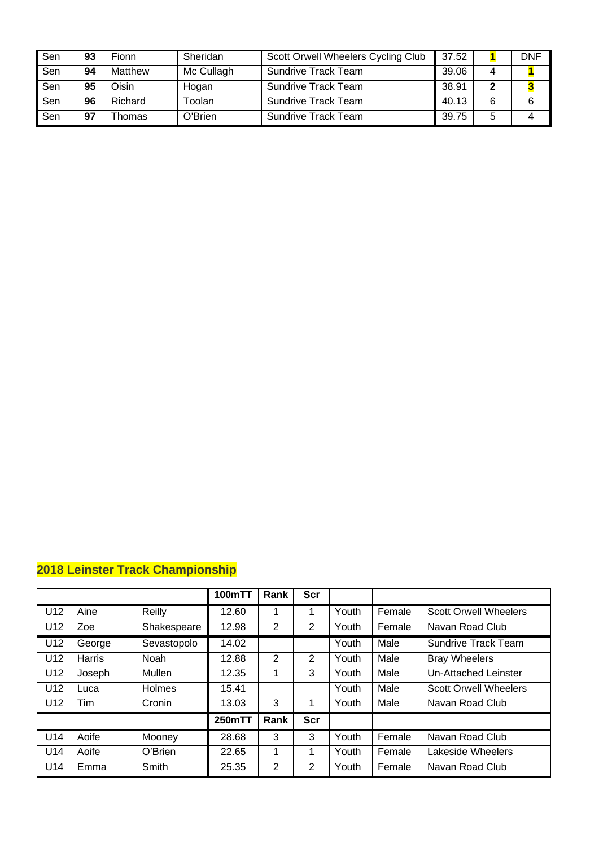| Sen | 93 | Fionn   | Sheridan   | Scott Orwell Wheelers Cycling Club | 37.52 |   | DNF |
|-----|----|---------|------------|------------------------------------|-------|---|-----|
| Sen | 94 | Matthew | Mc Cullagh | <b>Sundrive Track Team</b>         | 39.06 |   |     |
| Sen | 95 | Oisin   | Hogan      | Sundrive Track Team                | 38.91 |   |     |
| Sen | 96 | Richard | Toolan     | <b>Sundrive Track Team</b>         | 40.13 | 6 |     |
| Sen | 97 | Thomas  | O'Brien    | Sundrive Track Team                | 39.75 | 5 |     |

|                 |               |             | <b>100mTT</b> | Rank | <b>Scr</b>     |       |        |                              |
|-----------------|---------------|-------------|---------------|------|----------------|-------|--------|------------------------------|
| U <sub>12</sub> | Aine          | Reilly      | 12.60         | 1    |                | Youth | Female | <b>Scott Orwell Wheelers</b> |
| U12             | Zoe           | Shakespeare | 12.98         | 2    | $\overline{2}$ | Youth | Female | Navan Road Club              |
| U12             | George        | Sevastopolo | 14.02         |      |                | Youth | Male   | Sundrive Track Team          |
| U <sub>12</sub> | <b>Harris</b> | <b>Noah</b> | 12.88         | 2    | 2              | Youth | Male   | <b>Bray Wheelers</b>         |
| U12             | Joseph        | Mullen      | 12.35         | 1    | 3              | Youth | Male   | Un-Attached Leinster         |
| U <sub>12</sub> | Luca          | Holmes      | 15.41         |      |                | Youth | Male   | <b>Scott Orwell Wheelers</b> |
| U <sub>12</sub> | <b>Tim</b>    | Cronin      | 13.03         | 3    |                | Youth | Male   | Navan Road Club              |
|                 |               |             | 250mTT        | Rank | <b>Scr</b>     |       |        |                              |
| U14             | Aoife         | Mooney      | 28.68         | 3    | 3              | Youth | Female | Navan Road Club              |
| U14             | Aoife         | O'Brien     | 22.65         | 1    |                | Youth | Female | Lakeside Wheelers            |
| U14             | Emma          | Smith       | 25.35         | 2    | 2              | Youth | Female | Navan Road Club              |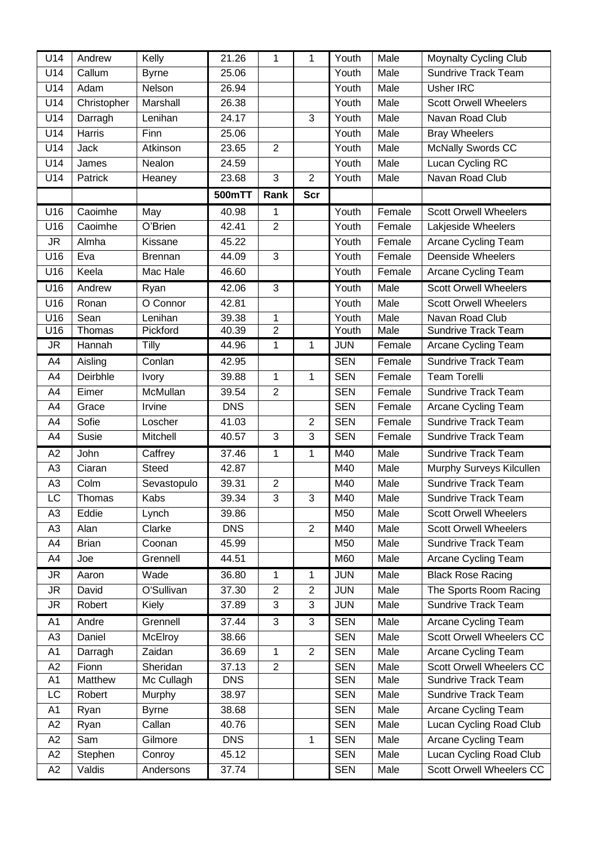| U14            | Andrew       | Kelly           | 21.26      | 1              | 1              | Youth      | Male   | <b>Moynalty Cycling Club</b>    |
|----------------|--------------|-----------------|------------|----------------|----------------|------------|--------|---------------------------------|
| U14            | Callum       | <b>Byrne</b>    | 25.06      |                |                | Youth      | Male   | <b>Sundrive Track Team</b>      |
| U14            | Adam         | Nelson          | 26.94      |                |                | Youth      | Male   | Usher IRC                       |
| U14            | Christopher  | Marshall        | 26.38      |                |                | Youth      | Male   | <b>Scott Orwell Wheelers</b>    |
| U14            | Darragh      | Lenihan         | 24.17      |                | 3              | Youth      | Male   | Navan Road Club                 |
| U14            | Harris       | Finn            | 25.06      |                |                | Youth      | Male   | <b>Bray Wheelers</b>            |
| U14            | <b>Jack</b>  | Atkinson        | 23.65      | $\overline{2}$ |                | Youth      | Male   | <b>McNally Swords CC</b>        |
| U14            | James        | Nealon          | 24.59      |                |                | Youth      | Male   | Lucan Cycling RC                |
| U14            | Patrick      | Heaney          | 23.68      | $\mathfrak{B}$ | $\overline{2}$ | Youth      | Male   | Navan Road Club                 |
|                |              |                 | 500mTT     | Rank           | <b>Scr</b>     |            |        |                                 |
| U16            | Caoimhe      | May             | 40.98      | 1              |                | Youth      | Female | <b>Scott Orwell Wheelers</b>    |
| U16            | Caoimhe      | O'Brien         | 42.41      | $\overline{2}$ |                | Youth      | Female | Lakjeside Wheelers              |
| <b>JR</b>      | Almha        | Kissane         | 45.22      |                |                | Youth      | Female | Arcane Cycling Team             |
| U16            | Eva          | <b>Brennan</b>  | 44.09      | 3              |                | Youth      | Female | Deenside Wheelers               |
| U16            | Keela        | Mac Hale        | 46.60      |                |                | Youth      | Female | Arcane Cycling Team             |
| U16            | Andrew       | Ryan            | 42.06      | $\mathbf{3}$   |                | Youth      | Male   | <b>Scott Orwell Wheelers</b>    |
| U16            | Ronan        | O Connor        | 42.81      |                |                | Youth      | Male   | <b>Scott Orwell Wheelers</b>    |
| U16            | Sean         | Lenihan         | 39.38      | $\mathbf 1$    |                | Youth      | Male   | Navan Road Club                 |
| U16            | Thomas       | Pickford        | 40.39      | $\overline{2}$ |                | Youth      | Male   | <b>Sundrive Track Team</b>      |
| <b>JR</b>      | Hannah       | Tilly           | 44.96      | 1              | $\mathbf{1}$   | <b>JUN</b> | Female | Arcane Cycling Team             |
| A4             | Aisling      | Conlan          | 42.95      |                |                | <b>SEN</b> | Female | <b>Sundrive Track Team</b>      |
| A4             | Deirbhle     | Ivory           | 39.88      | 1              | 1              | <b>SEN</b> | Female | <b>Team Torelli</b>             |
| A4             | Eimer        | <b>McMullan</b> | 39.54      | $\overline{2}$ |                | <b>SEN</b> | Female | <b>Sundrive Track Team</b>      |
| A4             | Grace        | Irvine          | <b>DNS</b> |                |                | <b>SEN</b> | Female | Arcane Cycling Team             |
| A4             | Sofie        | Loscher         | 41.03      |                | $\overline{2}$ | <b>SEN</b> | Female | Sundrive Track Team             |
| A4             | Susie        | Mitchell        | 40.57      | $\mathfrak{B}$ | 3              | <b>SEN</b> | Female | <b>Sundrive Track Team</b>      |
| A2             | John         | Caffrey         | 37.46      | 1              | $\mathbf 1$    | M40        | Male   | <b>Sundrive Track Team</b>      |
| A <sub>3</sub> | Ciaran       | <b>Steed</b>    | 42.87      |                |                | M40        | Male   | Murphy Surveys Kilcullen        |
| A <sub>3</sub> | Colm         | Sevastopulo     | 39.31      | $\overline{2}$ |                | M40        | Male   | <b>Sundrive Track Team</b>      |
| LC             | Thomas       | <b>Kabs</b>     | 39.34      | 3              | 3              | M40        | Male   | Sundrive Track Team             |
| A3             | Eddie        | Lynch           | 39.86      |                |                | M50        | Male   | <b>Scott Orwell Wheelers</b>    |
| A <sub>3</sub> | Alan         | Clarke          | <b>DNS</b> |                | $\overline{2}$ | M40        | Male   | <b>Scott Orwell Wheelers</b>    |
| A4             | <b>Brian</b> | Coonan          | 45.99      |                |                | M50        | Male   | <b>Sundrive Track Team</b>      |
| A4             | Joe          | Grennell        | 44.51      |                |                | M60        | Male   | Arcane Cycling Team             |
| JR             | Aaron        | Wade            | 36.80      | 1              | 1              | <b>JUN</b> | Male   | <b>Black Rose Racing</b>        |
| <b>JR</b>      | David        | O'Sullivan      | 37.30      | $\overline{2}$ | $\overline{2}$ | <b>JUN</b> | Male   | The Sports Room Racing          |
| <b>JR</b>      | Robert       | Kiely           | 37.89      | 3              | 3              | <b>JUN</b> | Male   | <b>Sundrive Track Team</b>      |
| A1             | Andre        | Grennell        | 37.44      | 3              | 3              | <b>SEN</b> | Male   | Arcane Cycling Team             |
| A <sub>3</sub> | Daniel       | McElroy         | 38.66      |                |                | <b>SEN</b> | Male   | <b>Scott Orwell Wheelers CC</b> |
| A1             | Darragh      | Zaidan          | 36.69      | 1              | $\overline{2}$ | <b>SEN</b> | Male   | <b>Arcane Cycling Team</b>      |
| A2             | Fionn        | Sheridan        | 37.13      | $\overline{2}$ |                | <b>SEN</b> | Male   | <b>Scott Orwell Wheelers CC</b> |
| A1             | Matthew      | Mc Cullagh      | <b>DNS</b> |                |                | <b>SEN</b> | Male   | Sundrive Track Team             |
| LC             | Robert       | Murphy          | 38.97      |                |                | <b>SEN</b> | Male   | Sundrive Track Team             |
| A1             | Ryan         | <b>Byrne</b>    | 38.68      |                |                | <b>SEN</b> | Male   | Arcane Cycling Team             |
| A2             | Ryan         | Callan          | 40.76      |                |                | <b>SEN</b> | Male   | Lucan Cycling Road Club         |
| A2             | Sam          | Gilmore         | <b>DNS</b> |                | 1              | <b>SEN</b> | Male   | Arcane Cycling Team             |
| A2             | Stephen      | Conroy          | 45.12      |                |                | <b>SEN</b> | Male   | Lucan Cycling Road Club         |
| A2             | Valdis       | Andersons       | 37.74      |                |                | <b>SEN</b> | Male   | Scott Orwell Wheelers CC        |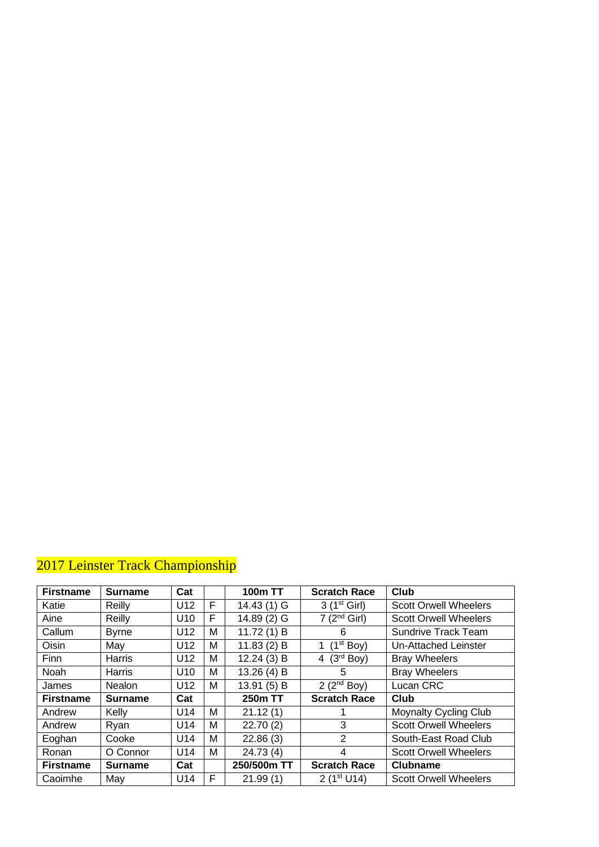| <b>Firstname</b> | <b>Surname</b> | Cat             |   | <b>100m TT</b> | <b>Scratch Race</b>        | <b>Club</b>                  |
|------------------|----------------|-----------------|---|----------------|----------------------------|------------------------------|
| Katie            | Reilly         | U <sub>12</sub> | F | 14.43 (1) G    | $3(1^{st}$ Girl)           | <b>Scott Orwell Wheelers</b> |
| Aine             | Reilly         | U <sub>10</sub> | F | 14.89 (2) G    | 7(2 <sup>nd</sup> Girl)    | <b>Scott Orwell Wheelers</b> |
| Callum           | <b>Byrne</b>   | U <sub>12</sub> | м | 11.72(1) B     | 6                          | <b>Sundrive Track Team</b>   |
| <b>Oisin</b>     | May            | U <sub>12</sub> | м | 11.83(2) B     | (1 <sup>st</sup> Boy)<br>1 | Un-Attached Leinster         |
| <b>Finn</b>      | Harris         | U <sub>12</sub> | м | 12.24(3) B     | (3 <sup>rd</sup> Boy)<br>4 | <b>Bray Wheelers</b>         |
| Noah             | Harris         | U <sub>10</sub> | м | 13.26 (4) B    | 5                          | <b>Bray Wheelers</b>         |
| James            | <b>Nealon</b>  | U12             | м | 13.91 (5) B    | 2 ( $2nd$ Boy)             | Lucan CRC                    |
| <b>Firstname</b> | <b>Surname</b> | Cat             |   | 250m TT        | <b>Scratch Race</b>        | Club                         |
| Andrew           | Kelly          | U14             | м | 21.12(1)       |                            | <b>Moynalty Cycling Club</b> |
| Andrew           | Ryan           | U <sub>14</sub> | м | 22.70(2)       | 3                          | <b>Scott Orwell Wheelers</b> |
| Eoghan           | Cooke          | U14             | м | 22.86(3)       | 2                          | South-East Road Club         |
| Ronan            | O Connor       | U <sub>14</sub> | м | 24.73 (4)      | 4                          | <b>Scott Orwell Wheelers</b> |
| <b>Firstname</b> | <b>Surname</b> | Cat             |   | 250/500m TT    | <b>Scratch Race</b>        | <b>Clubname</b>              |
| Caoimhe          | May            | U <sub>14</sub> | F | 21.99(1)       | 2 $(1st U14)$              | <b>Scott Orwell Wheelers</b> |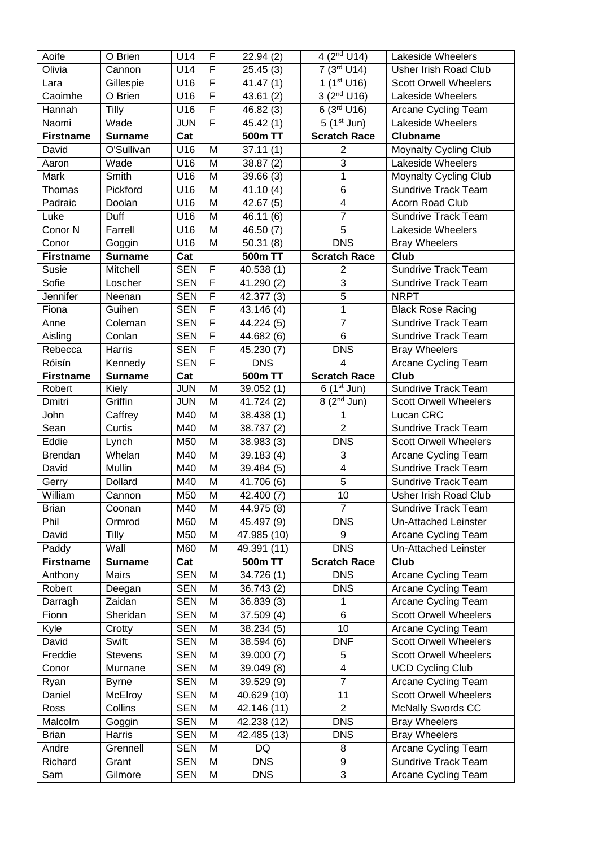| Aoife              | O Brien          | U14                      | $\mathsf F$    | 22.94(2)                 | $\frac{1}{4}$ (2 <sup>nd</sup> U14)  | Lakeside Wheelers                                 |
|--------------------|------------------|--------------------------|----------------|--------------------------|--------------------------------------|---------------------------------------------------|
| Olivia             | Cannon           | U14                      | F              | 25.45(3)                 | $\frac{1}{7}$ (3 <sup>rd</sup> U14)  | <b>Usher Irish Road Club</b>                      |
| Lara               | Gillespie        | U16                      | F              | 41.47(1)                 | $1(1^{st}$ U16)                      | <b>Scott Orwell Wheelers</b>                      |
| Caoimhe            | O Brien          | U16                      | $\overline{F}$ | 43.61(2)                 | $3(2^{nd}$ U16)                      | Lakeside Wheelers                                 |
| Hannah             | Tilly            | U16                      | $\overline{F}$ | 46.82 (3)                | 6 (3rd U16)                          | Arcane Cycling Team                               |
| Naomi              | Wade             | <b>JUN</b>               | $\mathsf F$    | 45.42 (1)                | $5(1^{st}$ Jun)                      | Lakeside Wheelers                                 |
| <b>Firstname</b>   | <b>Surname</b>   | Cat                      |                | 500m TT                  | <b>Scratch Race</b>                  | <b>Clubname</b>                                   |
| David              | O'Sullivan       | U16                      | M              | 37.11(1)                 | $\overline{2}$                       | Moynalty Cycling Club                             |
| Aaron              | Wade             | U16                      | M              | 38.87(2)                 | $\overline{3}$                       | Lakeside Wheelers                                 |
| Mark               | Smith            | U16                      | M              | 39.66(3)                 | $\overline{1}$                       | Moynalty Cycling Club                             |
| Thomas             | Pickford         | U16                      | M              | 41.10(4)                 | $\overline{6}$                       | <b>Sundrive Track Team</b>                        |
| Padraic            | Doolan           | U16                      | M              | 42.67(5)                 | $\overline{\mathbf{4}}$              | Acorn Road Club                                   |
| Luke               | Duff             | U16                      | M              | 46.11(6)                 | $\overline{7}$                       | <b>Sundrive Track Team</b>                        |
| Conor <sub>N</sub> | Farrell          | U16                      | M              | 46.50(7)                 | $\overline{5}$                       | Lakeside Wheelers                                 |
| Conor              | Goggin           | U16                      | M              | 50.31(8)                 | <b>DNS</b>                           | <b>Bray Wheelers</b>                              |
| <b>Firstname</b>   | <b>Surname</b>   | Cat                      |                | 500m TT                  | <b>Scratch Race</b>                  | <b>Club</b>                                       |
| Susie              | Mitchell         | <b>SEN</b>               | F              | 40.538 (1)               | $\overline{2}$                       | Sundrive Track Team                               |
| Sofie              | Loscher          | <b>SEN</b>               | $\overline{F}$ | 41.290 (2)               | $\overline{3}$                       | Sundrive Track Team                               |
| Jennifer           | Neenan           | <b>SEN</b>               | F              | 42.377(3)                | $\overline{5}$                       | <b>NRPT</b>                                       |
| Fiona              | Guihen           | <b>SEN</b>               | $\mathsf F$    | 43.146 (4)               | $\mathbf 1$                          | <b>Black Rose Racing</b>                          |
| Anne               | Coleman          | <b>SEN</b>               | $\mathsf F$    | 44.224 (5)               | $\overline{7}$                       | <b>Sundrive Track Team</b>                        |
| Aisling            | Conlan           | <b>SEN</b>               | F              | 44.682 (6)               | 6                                    | <b>Sundrive Track Team</b>                        |
| Rebecca            | Harris           | <b>SEN</b>               | F              | 45.230 (7)               | $\overline{DNS}$                     | <b>Bray Wheelers</b>                              |
| Róisín             | Kennedy          | <b>SEN</b>               | F              | <b>DNS</b>               | 4                                    | Arcane Cycling Team                               |
| <b>Firstname</b>   | <b>Surname</b>   | Cat                      |                | 500m TT                  | <b>Scratch Race</b>                  | Club                                              |
| Robert             | Kiely            | <b>JUN</b>               | M              | 39.052(1)                | $6(1^{st}$ Jun)                      | <b>Sundrive Track Team</b>                        |
| Dmitri             | Griffin          | <b>JUN</b>               | M              | 41.724 (2)               | $\overline{8}$ (2 <sup>nd</sup> Jun) | <b>Scott Orwell Wheelers</b>                      |
| John               | Caffrey          | M40                      | M              | 38.438 (1)               | 1                                    | Lucan CRC                                         |
| Sean               | Curtis           | M40                      | M              | 38.737 (2)               | $\overline{2}$                       | <b>Sundrive Track Team</b>                        |
| Eddie              | Lynch            | M50                      | M              | 38.983 (3)               | <b>DNS</b>                           | <b>Scott Orwell Wheelers</b>                      |
| <b>Brendan</b>     | Whelan           | M40                      | M              | 39.183 (4)               | 3                                    | Arcane Cycling Team                               |
| David              | Mullin           | M40                      | M              | 39.484 (5)               | $\overline{\mathbf{4}}$              | <b>Sundrive Track Team</b>                        |
| Gerry              | <b>Dollard</b>   | M40                      | M              | 41.706 (6)               | 5                                    | Sundrive Track Team                               |
| William            | Cannon           | M50                      | M              | 42.400 (7)               | 10                                   | <b>Usher Irish Road Club</b>                      |
| <b>Brian</b>       | Coonan           | M40                      | M              | 44.975 (8)               | $\overline{7}$                       | <b>Sundrive Track Team</b>                        |
| Phil               | Ormrod           | M60                      | M              | 45.497 (9)               | <b>DNS</b>                           | Un-Attached Leinster                              |
| David              | Tilly            | M <sub>50</sub>          | M              | 47.985 (10)              | 9                                    | Arcane Cycling Team                               |
| Paddy              | Wall             | M60                      | M              | 49.391 (11)              | <b>DNS</b>                           | Un-Attached Leinster                              |
| <b>Firstname</b>   | <b>Surname</b>   | Cat                      |                | 500m TT                  | <b>Scratch Race</b>                  | Club                                              |
| Anthony            | <b>Mairs</b>     | <b>SEN</b>               | M              | 34.726 (1)               | <b>DNS</b>                           | Arcane Cycling Team                               |
| Robert             | Deegan           | <b>SEN</b>               | M              | 36.743(2)                | <b>DNS</b>                           | Arcane Cycling Team                               |
| Darragh            | Zaidan           | <b>SEN</b>               | M              | 36.839(3)                | 1                                    | Arcane Cycling Team                               |
| Fionn              | Sheridan         | <b>SEN</b>               | M              | 37.509 (4)               | 6                                    | <b>Scott Orwell Wheelers</b>                      |
| Kyle               | Crotty           | <b>SEN</b>               | M              | 38.234 (5)               | 10                                   | Arcane Cycling Team                               |
| David              | Swift            | <b>SEN</b>               | M              | 38.594 (6)               | <b>DNF</b>                           | <b>Scott Orwell Wheelers</b>                      |
| Freddie            | <b>Stevens</b>   | <b>SEN</b>               | M              | 39.000 (7)               | 5                                    | <b>Scott Orwell Wheelers</b>                      |
| Conor              | Murnane          | <b>SEN</b>               | M              | 39.049 (8)               | $\overline{\mathbf{4}}$              | <b>UCD Cycling Club</b>                           |
| Ryan               | <b>Byrne</b>     | <b>SEN</b>               | M              | 39.529 (9)               | $\overline{7}$                       | Arcane Cycling Team                               |
| Daniel             | McElroy          | <b>SEN</b>               | M              | 40.629 (10)              | 11                                   | <b>Scott Orwell Wheelers</b>                      |
| Ross               | Collins          | <b>SEN</b>               | M              | 42.146 (11)              | $\overline{2}$                       | McNally Swords CC                                 |
| Malcolm            | Goggin           | <b>SEN</b>               | M              | 42.238 (12)              | <b>DNS</b>                           | <b>Bray Wheelers</b>                              |
| <b>Brian</b>       | Harris           | <b>SEN</b>               | M              | 42.485 (13)              | <b>DNS</b>                           | <b>Bray Wheelers</b>                              |
| Andre              |                  |                          |                |                          |                                      |                                                   |
|                    | Grennell         | <b>SEN</b>               | M              | DQ                       | 8                                    | Arcane Cycling Team                               |
| Richard<br>Sam     | Grant<br>Gilmore | <b>SEN</b><br><b>SEN</b> | M<br>M         | <b>DNS</b><br><b>DNS</b> | 9<br>3                               | <b>Sundrive Track Team</b><br>Arcane Cycling Team |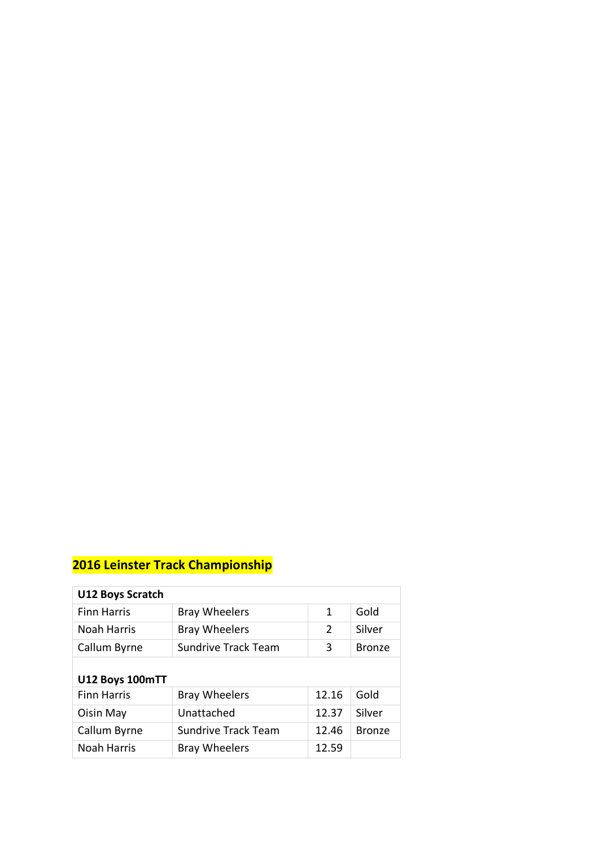| <b>U12 Boys Scratch</b> |                            |               |               |
|-------------------------|----------------------------|---------------|---------------|
| <b>Finn Harris</b>      | <b>Bray Wheelers</b>       | 1             | Gold          |
| <b>Noah Harris</b>      | <b>Bray Wheelers</b>       | $\mathcal{P}$ | Silver        |
| Callum Byrne            | <b>Sundrive Track Team</b> | 3             | <b>Bronze</b> |
|                         |                            |               |               |
| U12 Boys 100mTT         |                            |               |               |
| <b>Finn Harris</b>      | <b>Bray Wheelers</b>       | 12.16         | Gold          |
| Oisin May               | Unattached                 | 12.37         | Silver        |
| Callum Byrne            | <b>Sundrive Track Team</b> | 12.46         | <b>Bronze</b> |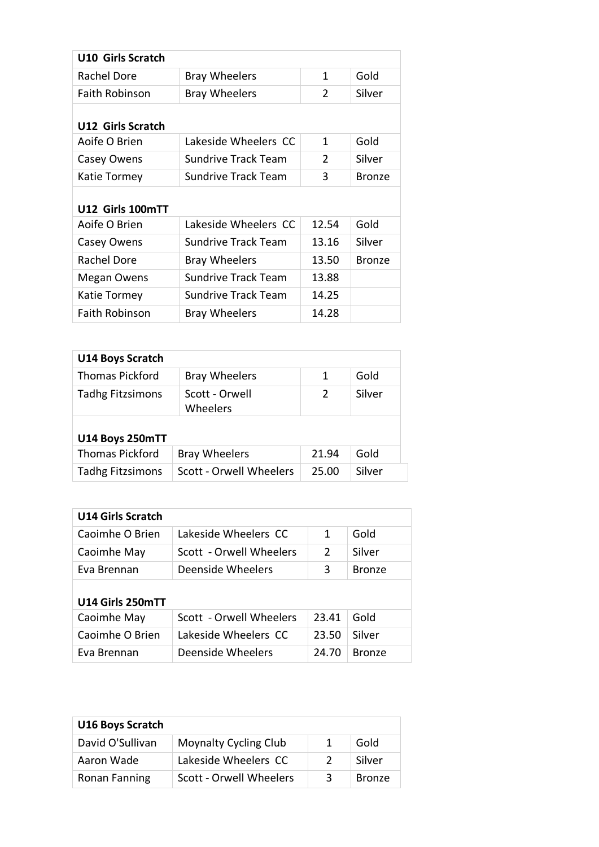| <b>Bray Wheelers</b>       | 1              | Gold          |
|----------------------------|----------------|---------------|
| <b>Bray Wheelers</b>       | $\overline{2}$ | Silver        |
|                            |                |               |
| Lakeside Wheelers CC       | 1              | Gold          |
| <b>Sundrive Track Team</b> | 2              | Silver        |
| <b>Sundrive Track Team</b> | 3              | <b>Bronze</b> |
|                            |                |               |
| Lakeside Wheelers CC       | 12.54          | Gold          |
| <b>Sundrive Track Team</b> | 13.16          | Silver        |
| <b>Bray Wheelers</b>       | 13.50          | <b>Bronze</b> |
| <b>Sundrive Track Team</b> | 13.88          |               |
| Sundrive Track Team        | 14.25          |               |
| <b>Bray Wheelers</b>       | 14.28          |               |
|                            |                |               |

| <b>U14 Boys Scratch</b> |                                |       |        |  |
|-------------------------|--------------------------------|-------|--------|--|
| <b>Thomas Pickford</b>  | <b>Bray Wheelers</b>           | 1     | Gold   |  |
| <b>Tadhg Fitzsimons</b> | Scott - Orwell<br>Wheelers     | 2     | Silver |  |
| U14 Boys 250mTT         |                                |       |        |  |
| <b>Thomas Pickford</b>  | <b>Bray Wheelers</b>           | 21.94 | Gold   |  |
| <b>Tadhg Fitzsimons</b> | <b>Scott - Orwell Wheelers</b> | 25.00 | Silver |  |

| <b>U14 Girls Scratch</b> |                         |       |               |  |
|--------------------------|-------------------------|-------|---------------|--|
| Caoimhe O Brien          | Lakeside Wheelers CC    | 1     | Gold          |  |
| Caoimhe May              | Scott - Orwell Wheelers | 2     | Silver        |  |
| Eva Brennan              | Deenside Wheelers       | 3     | <b>Bronze</b> |  |
| U14 Girls 250mTT         |                         |       |               |  |
| Caoimhe May              | Scott - Orwell Wheelers | 23.41 | Gold          |  |
| Caoimhe O Brien          | Lakeside Wheelers CC    | 23.50 | Silver        |  |
| Eva Brennan              | Deenside Wheelers       | 24.70 | <b>Bronze</b> |  |

| <b>U16 Boys Scratch</b> |                              |   |               |
|-------------------------|------------------------------|---|---------------|
| David O'Sullivan        | <b>Moynalty Cycling Club</b> |   | Gold          |
| Aaron Wade              | Lakeside Wheelers CC         |   | Silver        |
| <b>Ronan Fanning</b>    | Scott - Orwell Wheelers      | 3 | <b>Bronze</b> |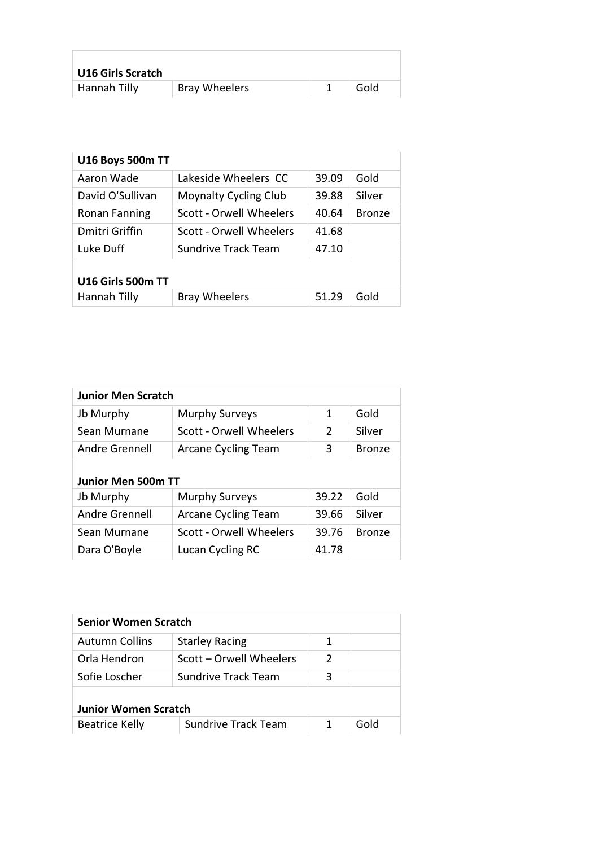| <b>U16 Girls Scratch</b> |                      |      |  |
|--------------------------|----------------------|------|--|
| Hannah Tilly             | <b>Bray Wheelers</b> | Gold |  |

| <b>U16 Boys 500m TT</b> |                              |       |               |  |
|-------------------------|------------------------------|-------|---------------|--|
| Aaron Wade              | Lakeside Wheelers CC         | 39.09 | Gold          |  |
| David O'Sullivan        | <b>Moynalty Cycling Club</b> | 39.88 | Silver        |  |
| <b>Ronan Fanning</b>    | Scott - Orwell Wheelers      | 40.64 | <b>Bronze</b> |  |
| Dmitri Griffin          | Scott - Orwell Wheelers      | 41.68 |               |  |
| Luke Duff               | <b>Sundrive Track Team</b>   | 47.10 |               |  |
| U16 Girls 500m TT       |                              |       |               |  |
| Hannah Tilly            | <b>Bray Wheelers</b>         | 51.29 | Gold          |  |

| <b>Junior Men Scratch</b> |                         |               |               |
|---------------------------|-------------------------|---------------|---------------|
| Jb Murphy                 | <b>Murphy Surveys</b>   | 1             | Gold          |
| Sean Murnane              | Scott - Orwell Wheelers | $\mathcal{P}$ | Silver        |
| Andre Grennell            | Arcane Cycling Team     | 3             | <b>Bronze</b> |
| <b>Junior Men 500m TT</b> |                         |               |               |
|                           |                         |               |               |
| Jb Murphy                 | <b>Murphy Surveys</b>   | 39.22         | Gold          |
| Andre Grennell            | Arcane Cycling Team     | 39.66         | Silver        |
| Sean Murnane              | Scott - Orwell Wheelers | 39.76         | <b>Bronze</b> |

| <b>Senior Women Scratch</b> |                            |               |      |  |
|-----------------------------|----------------------------|---------------|------|--|
| <b>Autumn Collins</b>       | <b>Starley Racing</b>      | 1             |      |  |
| Orla Hendron                | Scott – Orwell Wheelers    | $\mathcal{P}$ |      |  |
| Sofie Loscher               | Sundrive Track Team        | 3             |      |  |
| <b>Junior Women Scratch</b> |                            |               |      |  |
| <b>Beatrice Kelly</b>       | <b>Sundrive Track Team</b> |               | Gold |  |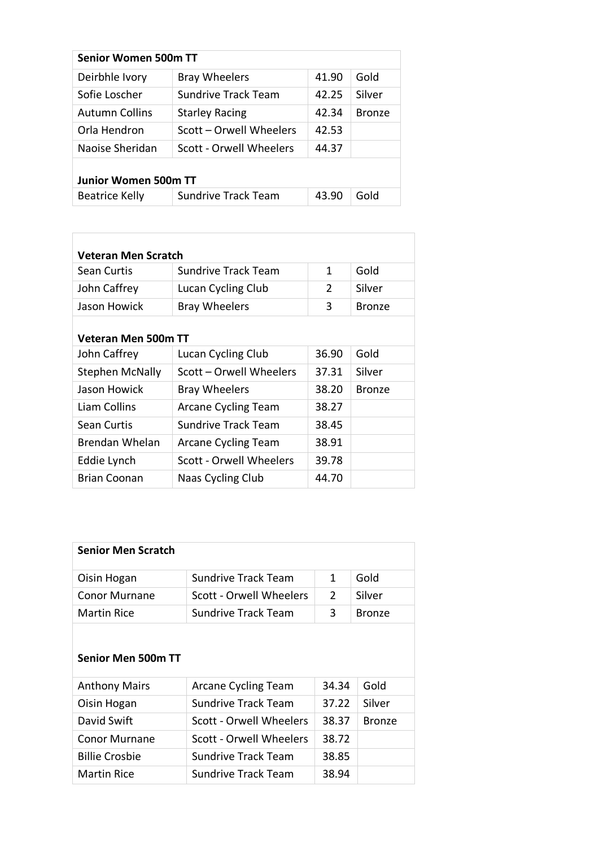| Senior Women 500m TT        |                                |       |               |
|-----------------------------|--------------------------------|-------|---------------|
| Deirbhle Ivory              | <b>Bray Wheelers</b>           | 41.90 | Gold          |
| Sofie Loscher               | Sundrive Track Team            | 42.25 | Silver        |
| <b>Autumn Collins</b>       | <b>Starley Racing</b>          | 42.34 | <b>Bronze</b> |
| Orla Hendron                | Scott – Orwell Wheelers        | 42.53 |               |
| Naoise Sheridan             | <b>Scott - Orwell Wheelers</b> | 44.37 |               |
| <b>Junior Women 500m TT</b> |                                |       |               |
| <b>Beatrice Kelly</b>       | <b>Sundrive Track Team</b>     | 43.90 | Gold          |

| Veteran Men Scratch    |                            |               |               |  |
|------------------------|----------------------------|---------------|---------------|--|
| Sean Curtis            | Sundrive Track Team        | 1             | Gold          |  |
| John Caffrey           | Lucan Cycling Club         | $\mathcal{P}$ | Silver        |  |
| Jason Howick           | <b>Bray Wheelers</b>       | 3             | <b>Bronze</b> |  |
| Veteran Men 500m TT    |                            |               |               |  |
| John Caffrey           | Lucan Cycling Club         | 36.90         | Gold          |  |
| <b>Stephen McNally</b> | Scott – Orwell Wheelers    | 37.31         | Silver        |  |
| Jason Howick           | <b>Bray Wheelers</b>       | 38.20         | <b>Bronze</b> |  |
| Liam Collins           | <b>Arcane Cycling Team</b> | 38.27         |               |  |
| Sean Curtis            | Sundrive Track Team        | 38.45         |               |  |
| Brendan Whelan         | <b>Arcane Cycling Team</b> | 38.91         |               |  |
| Eddie Lynch            | Scott - Orwell Wheelers    | 39.78         |               |  |
| <b>Brian Coonan</b>    | Naas Cycling Club          | 44.70         |               |  |

| <b>Senior Men Scratch</b> |                         |               |               |
|---------------------------|-------------------------|---------------|---------------|
| Oisin Hogan               | Sundrive Track Team     |               | Gold          |
| Conor Murnane             | Scott - Orwell Wheelers | $\mathcal{P}$ | Silver        |
| Martin Rice               | Sundrive Track Team     | ર             | <b>Bronze</b> |
|                           |                         |               |               |

# **Senior Men 500m TT**

| <b>Anthony Mairs</b>  | Arcane Cycling Team        | 34.34 | Gold          |
|-----------------------|----------------------------|-------|---------------|
| Oisin Hogan           | <b>Sundrive Track Team</b> | 37.22 | Silver        |
| David Swift           | Scott - Orwell Wheelers    | 38.37 | <b>Bronze</b> |
| <b>Conor Murnane</b>  | Scott - Orwell Wheelers    | 38.72 |               |
| <b>Billie Crosbie</b> | <b>Sundrive Track Team</b> | 38.85 |               |
| <b>Martin Rice</b>    | <b>Sundrive Track Team</b> | 38.94 |               |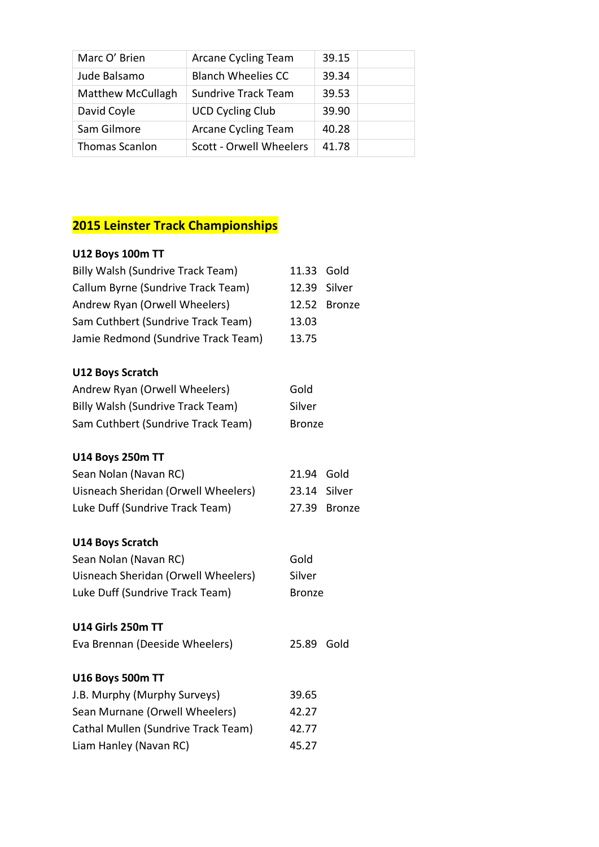| Marc O' Brien            | <b>Arcane Cycling Team</b> | 39.15 |  |
|--------------------------|----------------------------|-------|--|
| Jude Balsamo             | <b>Blanch Wheelies CC</b>  | 39.34 |  |
| <b>Matthew McCullagh</b> | <b>Sundrive Track Team</b> | 39.53 |  |
| David Coyle              | <b>UCD Cycling Club</b>    | 39.90 |  |
| Sam Gilmore              | <b>Arcane Cycling Team</b> | 40.28 |  |
| Thomas Scanlon           | Scott - Orwell Wheelers    | 41.78 |  |

| 11.33 Gold             |
|------------------------|
| 12.39 Silver           |
| 12.52<br><b>Bronze</b> |
| 13.03                  |
| 13.75                  |
|                        |
| Gold                   |
| Silver                 |
| <b>Bronze</b>          |
|                        |
| 21.94 Gold             |
| 23.14 Silver           |
| 27.39 Bronze           |
|                        |
| Gold                   |
| Silver                 |
| <b>Bronze</b>          |
|                        |
| Gold<br>25.89          |
|                        |
| 39.65                  |
| 42.27                  |
| 42.77                  |
| 45.27                  |
|                        |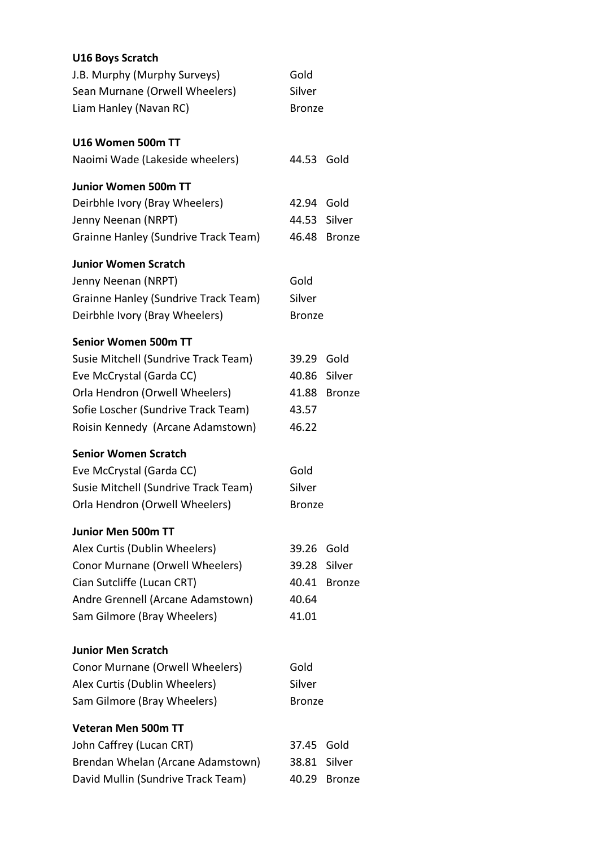| <b>U16 Boys Scratch</b>              |               |               |
|--------------------------------------|---------------|---------------|
| J.B. Murphy (Murphy Surveys)         | Gold          |               |
| Sean Murnane (Orwell Wheelers)       | Silver        |               |
| Liam Hanley (Navan RC)               | <b>Bronze</b> |               |
| U16 Women 500m TT                    |               |               |
| Naoimi Wade (Lakeside wheelers)      | 44.53         | Gold          |
| <b>Junior Women 500m TT</b>          |               |               |
| Deirbhle Ivory (Bray Wheelers)       | 42.94 Gold    |               |
| Jenny Neenan (NRPT)                  | 44.53         | Silver        |
| Grainne Hanley (Sundrive Track Team) |               | 46.48 Bronze  |
| <b>Junior Women Scratch</b>          |               |               |
| Jenny Neenan (NRPT)                  | Gold          |               |
| Grainne Hanley (Sundrive Track Team) | Silver        |               |
| Deirbhle Ivory (Bray Wheelers)       | <b>Bronze</b> |               |
| <b>Senior Women 500m TT</b>          |               |               |
| Susie Mitchell (Sundrive Track Team) | 39.29 Gold    |               |
| Eve McCrystal (Garda CC)             |               | 40.86 Silver  |
| Orla Hendron (Orwell Wheelers)       |               | 41.88 Bronze  |
| Sofie Loscher (Sundrive Track Team)  | 43.57         |               |
| Roisin Kennedy (Arcane Adamstown)    | 46.22         |               |
| <b>Senior Women Scratch</b>          |               |               |
| Eve McCrystal (Garda CC)             | Gold          |               |
| Susie Mitchell (Sundrive Track Team) | Silver        |               |
| Orla Hendron (Orwell Wheelers)       | <b>Bronze</b> |               |
| <b>Junior Men 500m TT</b>            |               |               |
| Alex Curtis (Dublin Wheelers)        | 39.26         | Gold          |
| Conor Murnane (Orwell Wheelers)      | 39.28         | Silver        |
| Cian Sutcliffe (Lucan CRT)           | 40.41         | <b>Bronze</b> |
| Andre Grennell (Arcane Adamstown)    | 40.64         |               |
| Sam Gilmore (Bray Wheelers)          | 41.01         |               |
| <b>Junior Men Scratch</b>            |               |               |
| Conor Murnane (Orwell Wheelers)      | Gold          |               |
| Alex Curtis (Dublin Wheelers)        | Silver        |               |
| Sam Gilmore (Bray Wheelers)          | <b>Bronze</b> |               |
| <b>Veteran Men 500m TT</b>           |               |               |
| John Caffrey (Lucan CRT)             | 37.45         | Gold          |
| Brendan Whelan (Arcane Adamstown)    | 38.81         | Silver        |
| David Mullin (Sundrive Track Team)   | 40.29         | <b>Bronze</b> |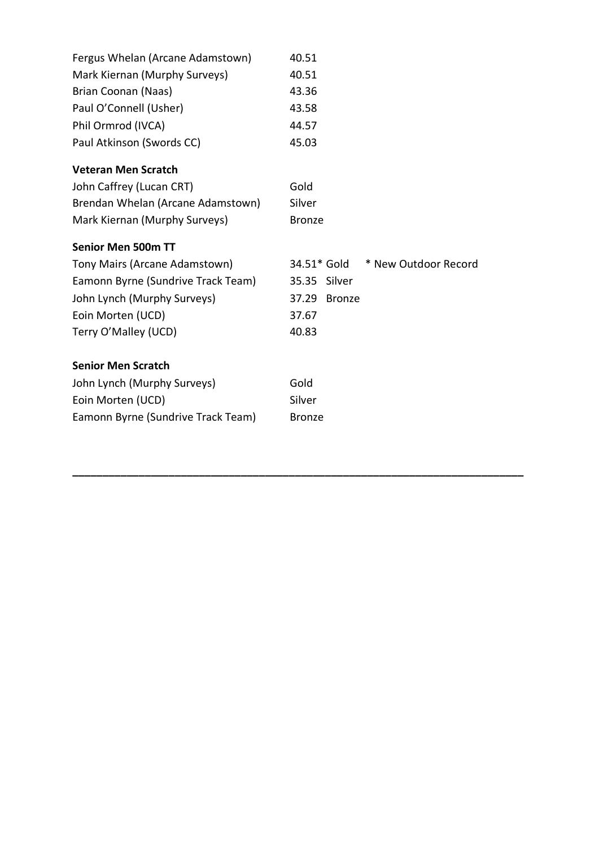| Fergus Whelan (Arcane Adamstown)   | 40.51                               |
|------------------------------------|-------------------------------------|
| Mark Kiernan (Murphy Surveys)      | 40.51                               |
| Brian Coonan (Naas)                | 43.36                               |
| Paul O'Connell (Usher)             | 43.58                               |
| Phil Ormrod (IVCA)                 | 44.57                               |
| Paul Atkinson (Swords CC)          | 45.03                               |
| <b>Veteran Men Scratch</b>         |                                     |
| John Caffrey (Lucan CRT)           | Gold                                |
| Brendan Whelan (Arcane Adamstown)  | Silver                              |
| Mark Kiernan (Murphy Surveys)      | <b>Bronze</b>                       |
| <b>Senior Men 500m TT</b>          |                                     |
| Tony Mairs (Arcane Adamstown)      | * New Outdoor Record<br>34.51* Gold |
| Eamonn Byrne (Sundrive Track Team) | 35.35 Silver                        |
| John Lynch (Murphy Surveys)        | 37.29<br><b>Bronze</b>              |
| Eoin Morten (UCD)                  | 37.67                               |
| Terry O'Malley (UCD)               | 40.83                               |
| <b>Senior Men Scratch</b>          |                                     |
| John Lynch (Murphy Surveys)        | Gold                                |
| Eoin Morten (UCD)                  | Silver                              |
| Eamonn Byrne (Sundrive Track Team) | <b>Bronze</b>                       |

**\_\_\_\_\_\_\_\_\_\_\_\_\_\_\_\_\_\_\_\_\_\_\_\_\_\_\_\_\_\_\_\_\_\_\_\_\_\_\_\_\_\_\_\_\_\_\_\_\_\_\_\_\_\_\_\_\_\_\_\_\_\_\_\_\_\_\_\_\_\_\_\_\_\_\_**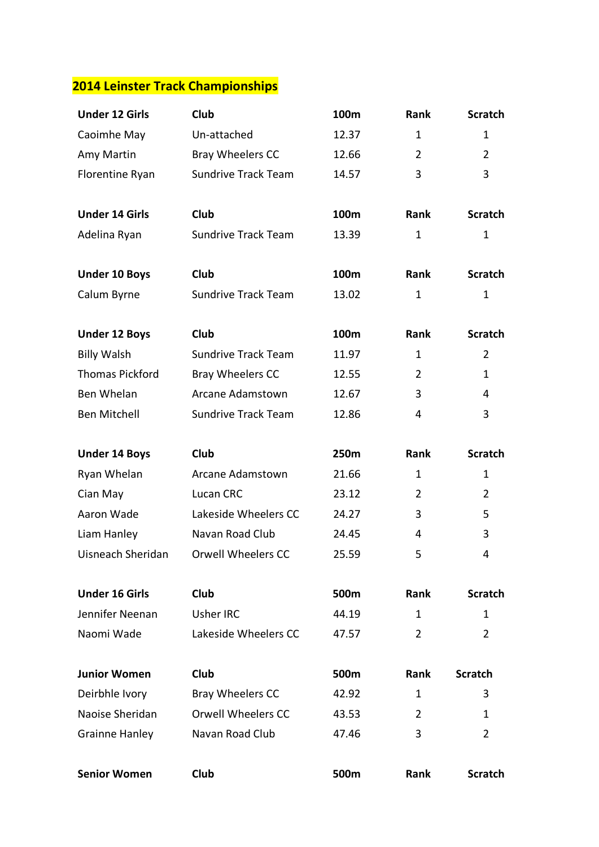| <b>Under 12 Girls</b>  | Club                       | 100m  | Rank           | <b>Scratch</b> |
|------------------------|----------------------------|-------|----------------|----------------|
| Caoimhe May            | Un-attached                | 12.37 | 1              | 1              |
| Amy Martin             | Bray Wheelers CC           | 12.66 | $\overline{2}$ | $\overline{2}$ |
| Florentine Ryan        | <b>Sundrive Track Team</b> | 14.57 | 3              | 3              |
|                        |                            |       |                |                |
| <b>Under 14 Girls</b>  | <b>Club</b>                | 100m  | Rank           | <b>Scratch</b> |
| Adelina Ryan           | <b>Sundrive Track Team</b> | 13.39 | 1              | 1              |
| <b>Under 10 Boys</b>   | <b>Club</b>                | 100m  | Rank           | <b>Scratch</b> |
| Calum Byrne            | <b>Sundrive Track Team</b> | 13.02 | $\mathbf 1$    | $\mathbf 1$    |
| <b>Under 12 Boys</b>   | <b>Club</b>                | 100m  | <b>Rank</b>    | <b>Scratch</b> |
| <b>Billy Walsh</b>     | <b>Sundrive Track Team</b> | 11.97 | $\mathbf{1}$   | $\overline{2}$ |
| <b>Thomas Pickford</b> | Bray Wheelers CC           | 12.55 | $\overline{2}$ | $\mathbf{1}$   |
| Ben Whelan             | Arcane Adamstown           | 12.67 | 3              | 4              |
| <b>Ben Mitchell</b>    | <b>Sundrive Track Team</b> | 12.86 | 4              | 3              |
| <b>Under 14 Boys</b>   | <b>Club</b>                | 250m  | Rank           | <b>Scratch</b> |
|                        |                            |       |                |                |
| Ryan Whelan            | Arcane Adamstown           | 21.66 | 1              | 1              |
| Cian May               | Lucan CRC                  | 23.12 | $\overline{2}$ | $\overline{2}$ |
| Aaron Wade             | Lakeside Wheelers CC       | 24.27 | 3              | 5              |
| Liam Hanley            | Navan Road Club            | 24.45 | 4              | 3              |
| Uisneach Sheridan      | Orwell Wheelers CC         | 25.59 | 5              | 4              |
| <b>Under 16 Girls</b>  | <b>Club</b>                | 500m  | Rank           | <b>Scratch</b> |
| Jennifer Neenan        | <b>Usher IRC</b>           | 44.19 | 1              | 1              |
| Naomi Wade             | Lakeside Wheelers CC       | 47.57 | $\overline{2}$ | $\overline{2}$ |
| <b>Junior Women</b>    | Club                       | 500m  | Rank           | <b>Scratch</b> |
| Deirbhle Ivory         | Bray Wheelers CC           | 42.92 | $\mathbf{1}$   | 3              |
| Naoise Sheridan        | <b>Orwell Wheelers CC</b>  | 43.53 | $\overline{2}$ | 1              |
| <b>Grainne Hanley</b>  | Navan Road Club            | 47.46 | 3              | $\overline{2}$ |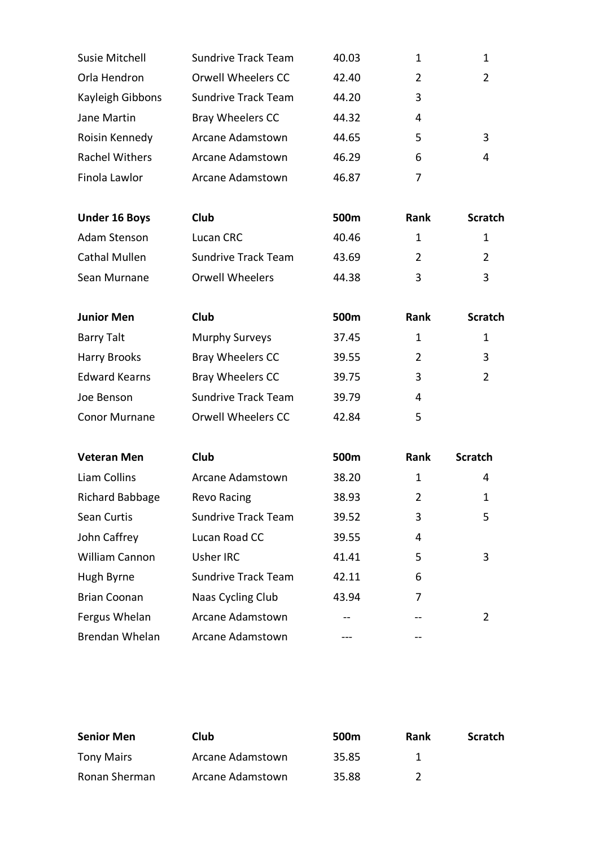| <b>Susie Mitchell</b>  | <b>Sundrive Track Team</b> | 40.03 | $\mathbf{1}$   | 1              |
|------------------------|----------------------------|-------|----------------|----------------|
| Orla Hendron           | <b>Orwell Wheelers CC</b>  | 42.40 | $\overline{2}$ | $\overline{2}$ |
| Kayleigh Gibbons       | <b>Sundrive Track Team</b> | 44.20 | 3              |                |
| Jane Martin            | Bray Wheelers CC           | 44.32 | 4              |                |
| Roisin Kennedy         | Arcane Adamstown           | 44.65 | 5              | 3              |
| <b>Rachel Withers</b>  | Arcane Adamstown           | 46.29 | 6              | 4              |
| Finola Lawlor          | Arcane Adamstown           | 46.87 | 7              |                |
| <b>Under 16 Boys</b>   | Club                       | 500m  | Rank           | <b>Scratch</b> |
| Adam Stenson           | Lucan CRC                  | 40.46 | $\mathbf{1}$   | 1              |
| <b>Cathal Mullen</b>   | <b>Sundrive Track Team</b> | 43.69 | $\overline{2}$ | $\overline{2}$ |
| Sean Murnane           | <b>Orwell Wheelers</b>     | 44.38 | 3              | 3              |
| <b>Junior Men</b>      | <b>Club</b>                | 500m  | <b>Rank</b>    | <b>Scratch</b> |
| <b>Barry Talt</b>      | <b>Murphy Surveys</b>      | 37.45 | $\mathbf{1}$   | $\mathbf{1}$   |
| <b>Harry Brooks</b>    | Bray Wheelers CC           | 39.55 | $\overline{2}$ | 3              |
| <b>Edward Kearns</b>   | Bray Wheelers CC           | 39.75 | 3              | $\overline{2}$ |
| Joe Benson             | <b>Sundrive Track Team</b> | 39.79 | 4              |                |
| <b>Conor Murnane</b>   | <b>Orwell Wheelers CC</b>  | 42.84 | 5              |                |
| <b>Veteran Men</b>     | Club                       | 500m  | Rank           | <b>Scratch</b> |
| Liam Collins           | Arcane Adamstown           | 38.20 | $\mathbf{1}$   | 4              |
| <b>Richard Babbage</b> | <b>Revo Racing</b>         | 38.93 | $\overline{2}$ | 1              |
| Sean Curtis            | Sundrive Track Team        | 39.52 | 3              | 5              |
| John Caffrey           | Lucan Road CC              | 39.55 | 4              |                |
| William Cannon         | Usher IRC                  | 41.41 | 5              | 3              |
| Hugh Byrne             | Sundrive Track Team        | 42.11 | 6              |                |
| <b>Brian Coonan</b>    | Naas Cycling Club          | 43.94 | 7              |                |
| Fergus Whelan          | Arcane Adamstown           |       |                | 2              |
| Brendan Whelan         | Arcane Adamstown           |       |                |                |

| <b>Senior Men</b> | Club             | 500 <sub>m</sub> | Rank | <b>Scratch</b> |
|-------------------|------------------|------------------|------|----------------|
| <b>Tony Mairs</b> | Arcane Adamstown | 35.85            |      |                |
| Ronan Sherman     | Arcane Adamstown | 35.88            |      |                |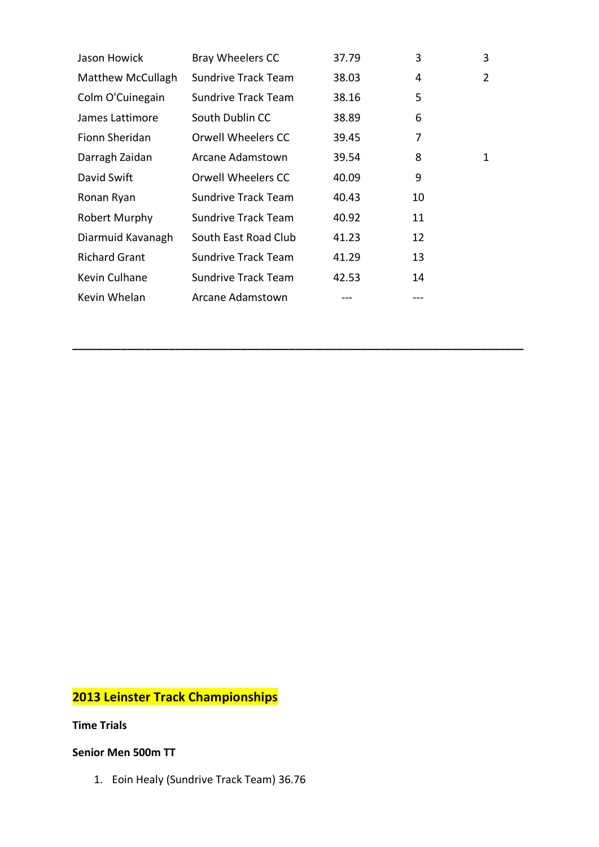| Jason Howick             | Bray Wheelers CC           | 37.79 | 3  | 3 |
|--------------------------|----------------------------|-------|----|---|
| <b>Matthew McCullagh</b> | <b>Sundrive Track Team</b> | 38.03 | 4  | 2 |
| Colm O'Cuinegain         | <b>Sundrive Track Team</b> | 38.16 | 5  |   |
| James Lattimore          | South Dublin CC            | 38.89 | 6  |   |
| Fionn Sheridan           | Orwell Wheelers CC         | 39.45 | 7  |   |
| Darragh Zaidan           | Arcane Adamstown           | 39.54 | 8  | 1 |
| David Swift              | Orwell Wheelers CC         | 40.09 | 9  |   |
| Ronan Ryan               | <b>Sundrive Track Team</b> | 40.43 | 10 |   |
| Robert Murphy            | <b>Sundrive Track Team</b> | 40.92 | 11 |   |
| Diarmuid Kavanagh        | South East Road Club       | 41.23 | 12 |   |
| <b>Richard Grant</b>     | <b>Sundrive Track Team</b> | 41.29 | 13 |   |
| Kevin Culhane            | <b>Sundrive Track Team</b> | 42.53 | 14 |   |
| Kevin Whelan             | Arcane Adamstown           |       |    |   |

**\_\_\_\_\_\_\_\_\_\_\_\_\_\_\_\_\_\_\_\_\_\_\_\_\_\_\_\_\_\_\_\_\_\_\_\_\_\_\_\_\_\_\_\_\_\_\_\_\_\_\_\_\_\_\_\_\_\_\_\_\_\_\_\_\_\_\_\_\_\_\_\_\_\_\_**

# **2013 Leinster Track Championships**

**Time Trials**

### **Senior Men 500m TT**

1. Eoin Healy (Sundrive Track Team) 36.76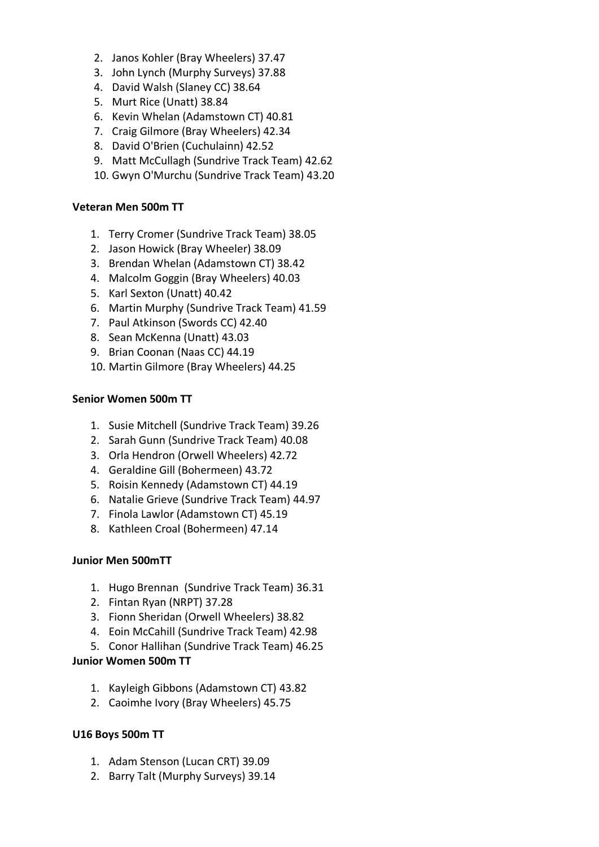- 2. Janos Kohler (Bray Wheelers) 37.47
- 3. John Lynch (Murphy Surveys) 37.88
- 4. David Walsh (Slaney CC) 38.64
- 5. Murt Rice (Unatt) 38.84
- 6. Kevin Whelan (Adamstown CT) 40.81
- 7. Craig Gilmore (Bray Wheelers) 42.34
- 8. David O'Brien (Cuchulainn) 42.52
- 9. Matt McCullagh (Sundrive Track Team) 42.62
- 10. Gwyn O'Murchu (Sundrive Track Team) 43.20

#### **Veteran Men 500m TT**

- 1. Terry Cromer (Sundrive Track Team) 38.05
- 2. Jason Howick (Bray Wheeler) 38.09
- 3. Brendan Whelan (Adamstown CT) 38.42
- 4. Malcolm Goggin (Bray Wheelers) 40.03
- 5. Karl Sexton (Unatt) 40.42
- 6. Martin Murphy (Sundrive Track Team) 41.59
- 7. Paul Atkinson (Swords CC) 42.40
- 8. Sean McKenna (Unatt) 43.03
- 9. Brian Coonan (Naas CC) 44.19
- 10. Martin Gilmore (Bray Wheelers) 44.25

### **Senior Women 500m TT**

- 1. Susie Mitchell (Sundrive Track Team) 39.26
- 2. Sarah Gunn (Sundrive Track Team) 40.08
- 3. Orla Hendron (Orwell Wheelers) 42.72
- 4. Geraldine Gill (Bohermeen) 43.72
- 5. Roisin Kennedy (Adamstown CT) 44.19
- 6. Natalie Grieve (Sundrive Track Team) 44.97
- 7. Finola Lawlor (Adamstown CT) 45.19
- 8. Kathleen Croal (Bohermeen) 47.14

### **Junior Men 500mTT**

- 1. Hugo Brennan (Sundrive Track Team) 36.31
- 2. Fintan Ryan (NRPT) 37.28
- 3. Fionn Sheridan (Orwell Wheelers) 38.82
- 4. Eoin McCahill (Sundrive Track Team) 42.98
- 5. Conor Hallihan (Sundrive Track Team) 46.25

### **Junior Women 500m TT**

- 1. Kayleigh Gibbons (Adamstown CT) 43.82
- 2. Caoimhe Ivory (Bray Wheelers) 45.75

### **U16 Boys 500m TT**

- 1. Adam Stenson (Lucan CRT) 39.09
- 2. Barry Talt (Murphy Surveys) 39.14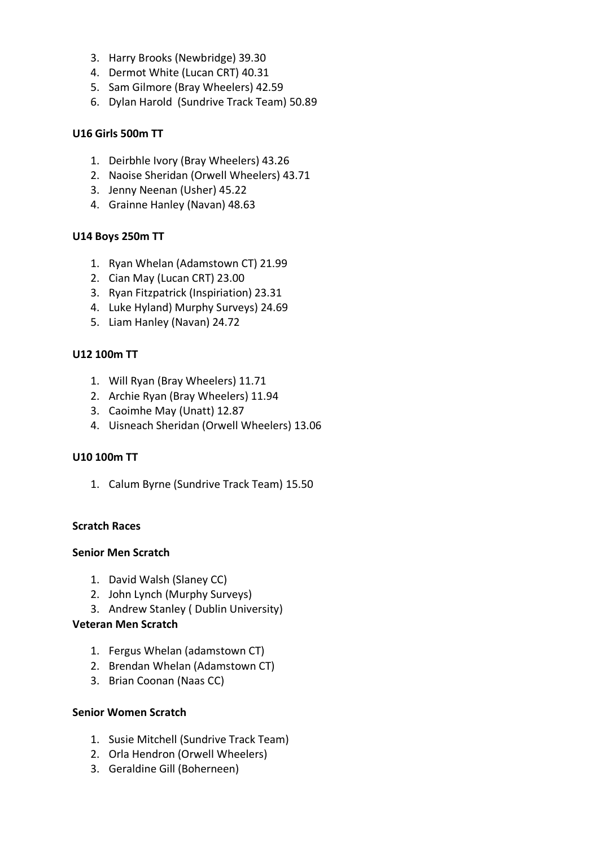- 3. Harry Brooks (Newbridge) 39.30
- 4. Dermot White (Lucan CRT) 40.31
- 5. Sam Gilmore (Bray Wheelers) 42.59
- 6. Dylan Harold (Sundrive Track Team) 50.89

## **U16 Girls 500m TT**

- 1. Deirbhle Ivory (Bray Wheelers) 43.26
- 2. Naoise Sheridan (Orwell Wheelers) 43.71
- 3. Jenny Neenan (Usher) 45.22
- 4. Grainne Hanley (Navan) 48.63

## **U14 Boys 250m TT**

- 1. Ryan Whelan (Adamstown CT) 21.99
- 2. Cian May (Lucan CRT) 23.00
- 3. Ryan Fitzpatrick (Inspiriation) 23.31
- 4. Luke Hyland) Murphy Surveys) 24.69
- 5. Liam Hanley (Navan) 24.72

## **U12 100m TT**

- 1. Will Ryan (Bray Wheelers) 11.71
- 2. Archie Ryan (Bray Wheelers) 11.94
- 3. Caoimhe May (Unatt) 12.87
- 4. Uisneach Sheridan (Orwell Wheelers) 13.06

## **U10 100m TT**

1. Calum Byrne (Sundrive Track Team) 15.50

## **Scratch Races**

## **Senior Men Scratch**

- 1. David Walsh (Slaney CC)
- 2. John Lynch (Murphy Surveys)
- 3. Andrew Stanley ( Dublin University)

## **Veteran Men Scratch**

- 1. Fergus Whelan (adamstown CT)
- 2. Brendan Whelan (Adamstown CT)
- 3. Brian Coonan (Naas CC)

## **Senior Women Scratch**

- 1. Susie Mitchell (Sundrive Track Team)
- 2. Orla Hendron (Orwell Wheelers)
- 3. Geraldine Gill (Boherneen)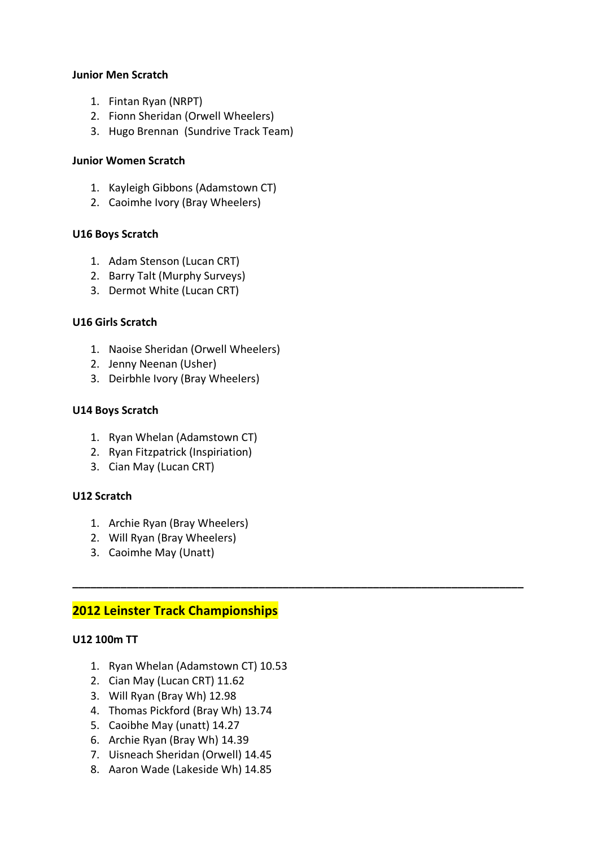### **Junior Men Scratch**

- 1. Fintan Ryan (NRPT)
- 2. Fionn Sheridan (Orwell Wheelers)
- 3. Hugo Brennan (Sundrive Track Team)

### **Junior Women Scratch**

- 1. Kayleigh Gibbons (Adamstown CT)
- 2. Caoimhe Ivory (Bray Wheelers)

### **U16 Boys Scratch**

- 1. Adam Stenson (Lucan CRT)
- 2. Barry Talt (Murphy Surveys)
- 3. Dermot White (Lucan CRT)

### **U16 Girls Scratch**

- 1. Naoise Sheridan (Orwell Wheelers)
- 2. Jenny Neenan (Usher)
- 3. Deirbhle Ivory (Bray Wheelers)

### **U14 Boys Scratch**

- 1. Ryan Whelan (Adamstown CT)
- 2. Ryan Fitzpatrick (Inspiriation)
- 3. Cian May (Lucan CRT)

## **U12 Scratch**

- 1. Archie Ryan (Bray Wheelers)
- 2. Will Ryan (Bray Wheelers)
- 3. Caoimhe May (Unatt)

# **2012 Leinster Track Championships**

### **U12 100m TT**

1. Ryan Whelan (Adamstown CT) 10.53

**\_\_\_\_\_\_\_\_\_\_\_\_\_\_\_\_\_\_\_\_\_\_\_\_\_\_\_\_\_\_\_\_\_\_\_\_\_\_\_\_\_\_\_\_\_\_\_\_\_\_\_\_\_\_\_\_\_\_\_\_\_\_\_\_\_\_\_\_\_\_\_\_\_\_\_**

- 2. Cian May (Lucan CRT) 11.62
- 3. Will Ryan (Bray Wh) 12.98
- 4. Thomas Pickford (Bray Wh) 13.74
- 5. Caoibhe May (unatt) 14.27
- 6. Archie Ryan (Bray Wh) 14.39
- 7. Uisneach Sheridan (Orwell) 14.45
- 8. Aaron Wade (Lakeside Wh) 14.85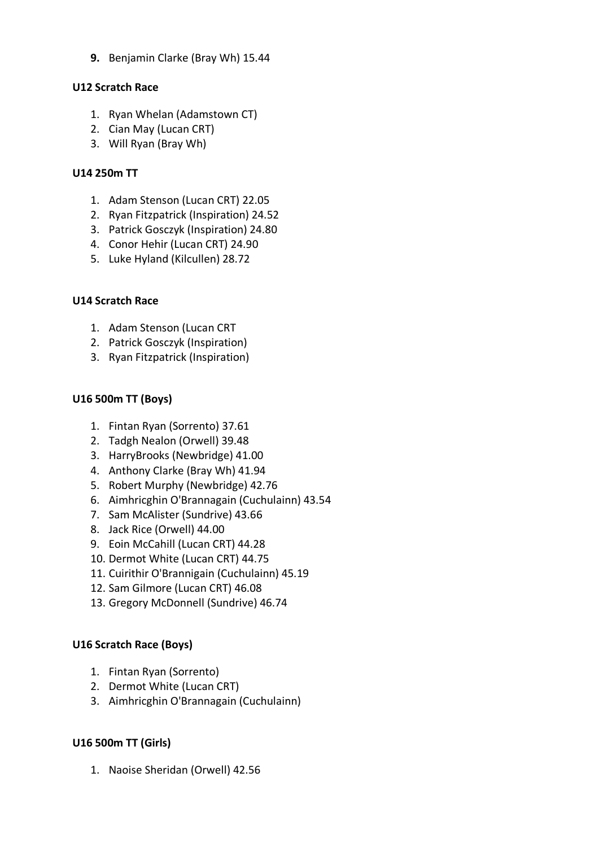**9.** Benjamin Clarke (Bray Wh) 15.44

### **U12 Scratch Race**

- 1. Ryan Whelan (Adamstown CT)
- 2. Cian May (Lucan CRT)
- 3. Will Ryan (Bray Wh)

### **U14 250m TT**

- 1. Adam Stenson (Lucan CRT) 22.05
- 2. Ryan Fitzpatrick (Inspiration) 24.52
- 3. Patrick Gosczyk (Inspiration) 24.80
- 4. Conor Hehir (Lucan CRT) 24.90
- 5. Luke Hyland (Kilcullen) 28.72

### **U14 Scratch Race**

- 1. Adam Stenson (Lucan CRT
- 2. Patrick Gosczyk (Inspiration)
- 3. Ryan Fitzpatrick (Inspiration)

## **U16 500m TT (Boys)**

- 1. Fintan Ryan (Sorrento) 37.61
- 2. Tadgh Nealon (Orwell) 39.48
- 3. HarryBrooks (Newbridge) 41.00
- 4. Anthony Clarke (Bray Wh) 41.94
- 5. Robert Murphy (Newbridge) 42.76
- 6. Aimhricghin O'Brannagain (Cuchulainn) 43.54
- 7. Sam McAlister (Sundrive) 43.66
- 8. Jack Rice (Orwell) 44.00
- 9. Eoin McCahill (Lucan CRT) 44.28
- 10. Dermot White (Lucan CRT) 44.75
- 11. Cuirithir O'Brannigain (Cuchulainn) 45.19
- 12. Sam Gilmore (Lucan CRT) 46.08
- 13. Gregory McDonnell (Sundrive) 46.74

## **U16 Scratch Race (Boys)**

- 1. Fintan Ryan (Sorrento)
- 2. Dermot White (Lucan CRT)
- 3. Aimhricghin O'Brannagain (Cuchulainn)

## **U16 500m TT (Girls)**

1. Naoise Sheridan (Orwell) 42.56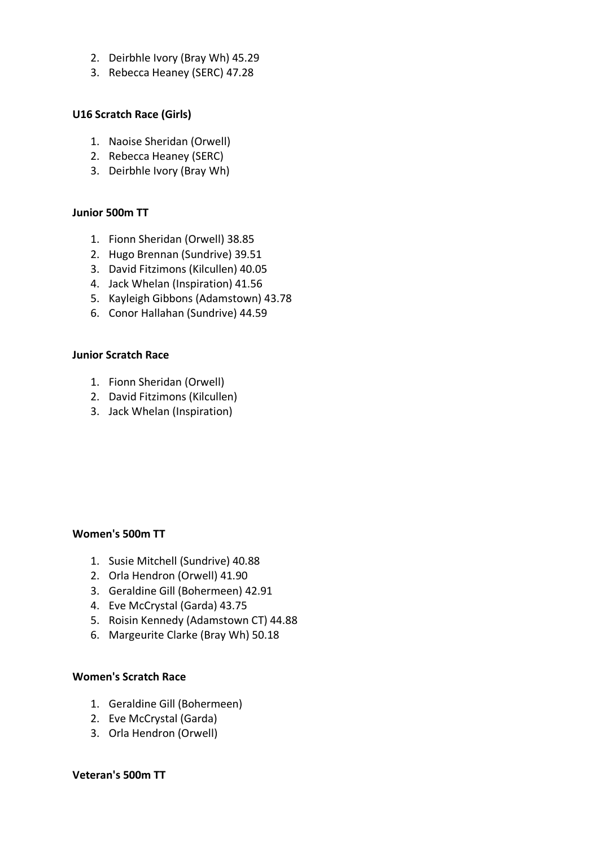- 2. Deirbhle Ivory (Bray Wh) 45.29
- 3. Rebecca Heaney (SERC) 47.28

### **U16 Scratch Race (Girls)**

- 1. Naoise Sheridan (Orwell)
- 2. Rebecca Heaney (SERC)
- 3. Deirbhle Ivory (Bray Wh)

### **Junior 500m TT**

- 1. Fionn Sheridan (Orwell) 38.85
- 2. Hugo Brennan (Sundrive) 39.51
- 3. David Fitzimons (Kilcullen) 40.05
- 4. Jack Whelan (Inspiration) 41.56
- 5. Kayleigh Gibbons (Adamstown) 43.78
- 6. Conor Hallahan (Sundrive) 44.59

### **Junior Scratch Race**

- 1. Fionn Sheridan (Orwell)
- 2. David Fitzimons (Kilcullen)
- 3. Jack Whelan (Inspiration)

### **Women's 500m TT**

- 1. Susie Mitchell (Sundrive) 40.88
- 2. Orla Hendron (Orwell) 41.90
- 3. Geraldine Gill (Bohermeen) 42.91
- 4. Eve McCrystal (Garda) 43.75
- 5. Roisin Kennedy (Adamstown CT) 44.88
- 6. Margeurite Clarke (Bray Wh) 50.18

### **Women's Scratch Race**

- 1. Geraldine Gill (Bohermeen)
- 2. Eve McCrystal (Garda)
- 3. Orla Hendron (Orwell)

### **Veteran's 500m TT**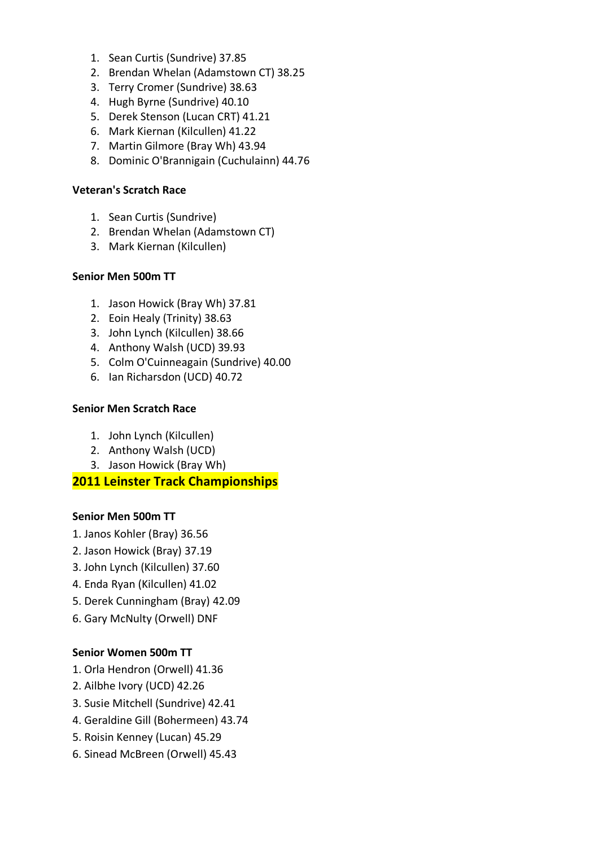- 1. Sean Curtis (Sundrive) 37.85
- 2. Brendan Whelan (Adamstown CT) 38.25
- 3. Terry Cromer (Sundrive) 38.63
- 4. Hugh Byrne (Sundrive) 40.10
- 5. Derek Stenson (Lucan CRT) 41.21
- 6. Mark Kiernan (Kilcullen) 41.22
- 7. Martin Gilmore (Bray Wh) 43.94
- 8. Dominic O'Brannigain (Cuchulainn) 44.76

#### **Veteran's Scratch Race**

- 1. Sean Curtis (Sundrive)
- 2. Brendan Whelan (Adamstown CT)
- 3. Mark Kiernan (Kilcullen)

### **Senior Men 500m TT**

- 1. Jason Howick (Bray Wh) 37.81
- 2. Eoin Healy (Trinity) 38.63
- 3. John Lynch (Kilcullen) 38.66
- 4. Anthony Walsh (UCD) 39.93
- 5. Colm O'Cuinneagain (Sundrive) 40.00
- 6. Ian Richarsdon (UCD) 40.72

### **Senior Men Scratch Race**

- 1. John Lynch (Kilcullen)
- 2. Anthony Walsh (UCD)
- 3. Jason Howick (Bray Wh)

## **2011 Leinster Track Championships**

### **Senior Men 500m TT**

- 1. Janos Kohler (Bray) 36.56
- 2. Jason Howick (Bray) 37.19
- 3. John Lynch (Kilcullen) 37.60
- 4. Enda Ryan (Kilcullen) 41.02
- 5. Derek Cunningham (Bray) 42.09
- 6. Gary McNulty (Orwell) DNF

### **Senior Women 500m TT**

- 1. Orla Hendron (Orwell) 41.36
- 2. Ailbhe Ivory (UCD) 42.26
- 3. Susie Mitchell (Sundrive) 42.41
- 4. Geraldine Gill (Bohermeen) 43.74
- 5. Roisin Kenney (Lucan) 45.29
- 6. Sinead McBreen (Orwell) 45.43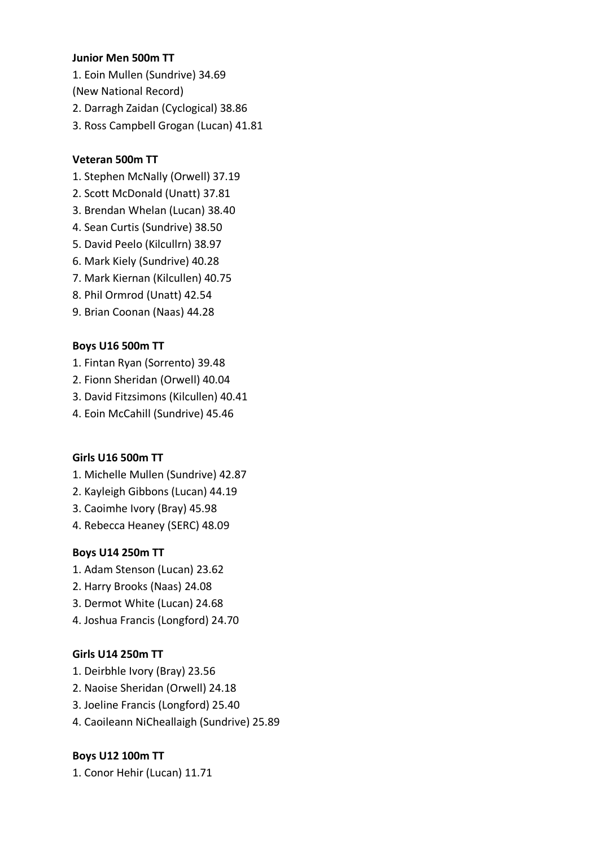### **Junior Men 500m TT**

1. Eoin Mullen (Sundrive) 34.69 (New National Record) 2. Darragh Zaidan (Cyclogical) 38.86

3. Ross Campbell Grogan (Lucan) 41.81

# **Veteran 500m TT**

- 1. Stephen McNally (Orwell) 37.19
- 2. Scott McDonald (Unatt) 37.81
- 3. Brendan Whelan (Lucan) 38.40
- 4. Sean Curtis (Sundrive) 38.50
- 5. David Peelo (Kilcullrn) 38.97
- 6. Mark Kiely (Sundrive) 40.28
- 7. Mark Kiernan (Kilcullen) 40.75
- 8. Phil Ormrod (Unatt) 42.54
- 9. Brian Coonan (Naas) 44.28

# **Boys U16 500m TT**

- 1. Fintan Ryan (Sorrento) 39.48
- 2. Fionn Sheridan (Orwell) 40.04
- 3. David Fitzsimons (Kilcullen) 40.41
- 4. Eoin McCahill (Sundrive) 45.46

## **Girls U16 500m TT**

- 1. Michelle Mullen (Sundrive) 42.87
- 2. Kayleigh Gibbons (Lucan) 44.19
- 3. Caoimhe Ivory (Bray) 45.98
- 4. Rebecca Heaney (SERC) 48.09

## **Boys U14 250m TT**

- 1. Adam Stenson (Lucan) 23.62
- 2. Harry Brooks (Naas) 24.08
- 3. Dermot White (Lucan) 24.68
- 4. Joshua Francis (Longford) 24.70

## **Girls U14 250m TT**

- 1. Deirbhle Ivory (Bray) 23.56
- 2. Naoise Sheridan (Orwell) 24.18
- 3. Joeline Francis (Longford) 25.40
- 4. Caoileann NiCheallaigh (Sundrive) 25.89

## **Boys U12 100m TT**

1. Conor Hehir (Lucan) 11.71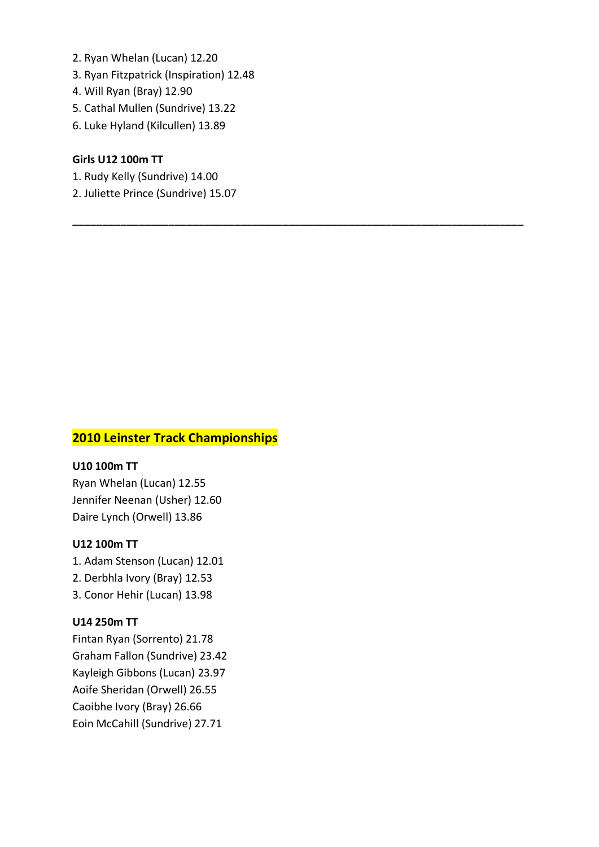- 2. Ryan Whelan (Lucan) 12.20
- 3. Ryan Fitzpatrick (Inspiration) 12.48
- 4. Will Ryan (Bray) 12.90
- 5. Cathal Mullen (Sundrive) 13.22
- 6. Luke Hyland (Kilcullen) 13.89

### **Girls U12 100m TT**

- 1. Rudy Kelly (Sundrive) 14.00
- 2. Juliette Prince (Sundrive) 15.07

**\_\_\_\_\_\_\_\_\_\_\_\_\_\_\_\_\_\_\_\_\_\_\_\_\_\_\_\_\_\_\_\_\_\_\_\_\_\_\_\_\_\_\_\_\_\_\_\_\_\_\_\_\_\_\_\_\_\_\_\_\_\_\_\_\_\_\_\_\_\_\_\_\_\_\_**

# **2010 Leinster Track Championships**

### **U10 100m TT**

Ryan Whelan (Lucan) 12.55 Jennifer Neenan (Usher) 12.60 Daire Lynch (Orwell) 13.86

### **U12 100m TT**

1. Adam Stenson (Lucan) 12.01

- 2. Derbhla Ivory (Bray) 12.53
- 3. Conor Hehir (Lucan) 13.98

### **U14 250m TT**

Fintan Ryan (Sorrento) 21.78 Graham Fallon (Sundrive) 23.42 Kayleigh Gibbons (Lucan) 23.97 Aoife Sheridan (Orwell) 26.55 Caoibhe Ivory (Bray) 26.66 Eoin McCahill (Sundrive) 27.71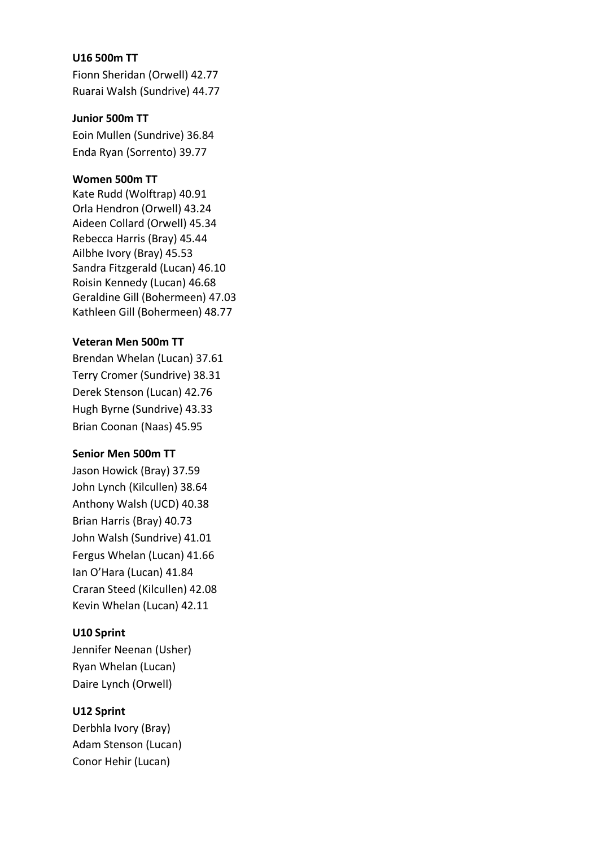### **U16 500m TT**

Fionn Sheridan (Orwell) 42.77 Ruarai Walsh (Sundrive) 44.77

### **Junior 500m TT**

Eoin Mullen (Sundrive) 36.84 Enda Ryan (Sorrento) 39.77

### **Women 500m TT**

Kate Rudd (Wolftrap) 40.91 Orla Hendron (Orwell) 43.24 Aideen Collard (Orwell) 45.34 Rebecca Harris (Bray) 45.44 Ailbhe Ivory (Bray) 45.53 Sandra Fitzgerald (Lucan) 46.10 Roisin Kennedy (Lucan) 46.68 Geraldine Gill (Bohermeen) 47.03 Kathleen Gill (Bohermeen) 48.77

### **Veteran Men 500m TT**

Brendan Whelan (Lucan) 37.61 Terry Cromer (Sundrive) 38.31 Derek Stenson (Lucan) 42.76 Hugh Byrne (Sundrive) 43.33 Brian Coonan (Naas) 45.95

## **Senior Men 500m TT**

Jason Howick (Bray) 37.59 John Lynch (Kilcullen) 38.64 Anthony Walsh (UCD) 40.38 Brian Harris (Bray) 40.73 John Walsh (Sundrive) 41.01 Fergus Whelan (Lucan) 41.66 Ian O'Hara (Lucan) 41.84 Craran Steed (Kilcullen) 42.08 Kevin Whelan (Lucan) 42.11

## **U10 Sprint**

Jennifer Neenan (Usher) Ryan Whelan (Lucan) Daire Lynch (Orwell)

## **U12 Sprint**

Derbhla Ivory (Bray) Adam Stenson (Lucan) Conor Hehir (Lucan)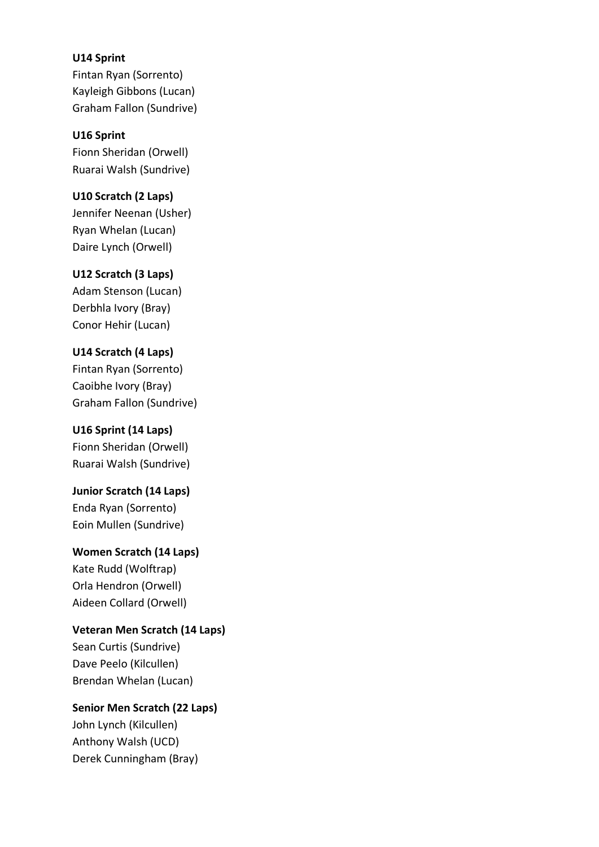### **U14 Sprint**

Fintan Ryan (Sorrento) Kayleigh Gibbons (Lucan) Graham Fallon (Sundrive)

**U16 Sprint** Fionn Sheridan (Orwell) Ruarai Walsh (Sundrive)

### **U10 Scratch (2 Laps)**

Jennifer Neenan (Usher) Ryan Whelan (Lucan) Daire Lynch (Orwell)

### **U12 Scratch (3 Laps)**

Adam Stenson (Lucan) Derbhla Ivory (Bray) Conor Hehir (Lucan)

### **U14 Scratch (4 Laps)**

Fintan Ryan (Sorrento) Caoibhe Ivory (Bray) Graham Fallon (Sundrive)

#### **U16 Sprint (14 Laps)**

Fionn Sheridan (Orwell) Ruarai Walsh (Sundrive)

# **Junior Scratch (14 Laps)**

Enda Ryan (Sorrento) Eoin Mullen (Sundrive)

# **Women Scratch (14 Laps)**

Kate Rudd (Wolftrap) Orla Hendron (Orwell) Aideen Collard (Orwell)

### **Veteran Men Scratch (14 Laps)**

Sean Curtis (Sundrive) Dave Peelo (Kilcullen) Brendan Whelan (Lucan)

# **Senior Men Scratch (22 Laps)**

John Lynch (Kilcullen) Anthony Walsh (UCD) Derek Cunningham (Bray)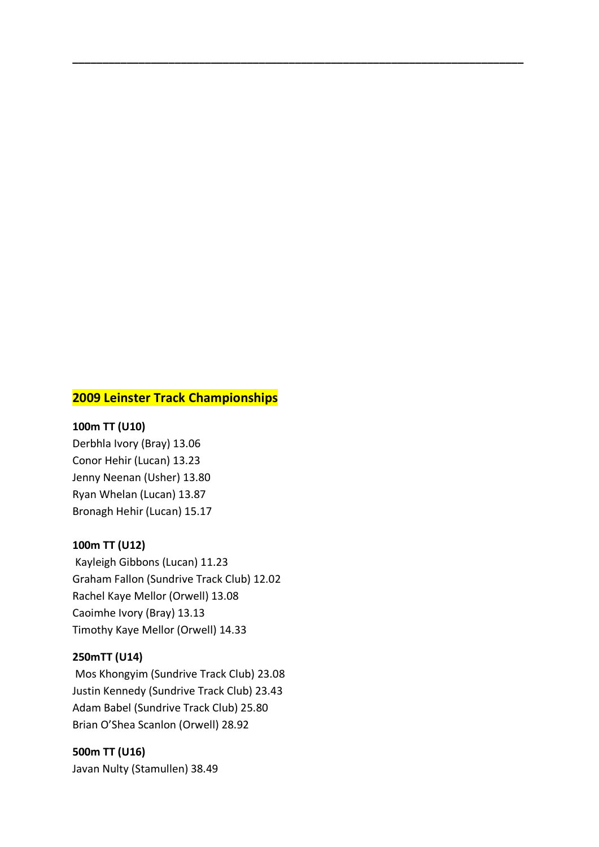# **2009 Leinster Track Championships**

**\_\_\_\_\_\_\_\_\_\_\_\_\_\_\_\_\_\_\_\_\_\_\_\_\_\_\_\_\_\_\_\_\_\_\_\_\_\_\_\_\_\_\_\_\_\_\_\_\_\_\_\_\_\_\_\_\_\_\_\_\_\_\_\_\_\_\_\_\_\_\_\_\_\_\_**

#### **100m TT (U10)**

Derbhla Ivory (Bray) 13.06 Conor Hehir (Lucan) 13.23 Jenny Neenan (Usher) 13.80 Ryan Whelan (Lucan) 13.87 Bronagh Hehir (Lucan) 15.17

### **100m TT (U12)**

Kayleigh Gibbons (Lucan) 11.23 Graham Fallon (Sundrive Track Club) 12.02 Rachel Kaye Mellor (Orwell) 13.08 Caoimhe Ivory (Bray) 13.13 Timothy Kaye Mellor (Orwell) 14.33

#### **250mTT (U14)**

Mos Khongyim (Sundrive Track Club) 23.08 Justin Kennedy (Sundrive Track Club) 23.43 Adam Babel (Sundrive Track Club) 25.80 Brian O'Shea Scanlon (Orwell) 28.92

**500m TT (U16)** Javan Nulty (Stamullen) 38.49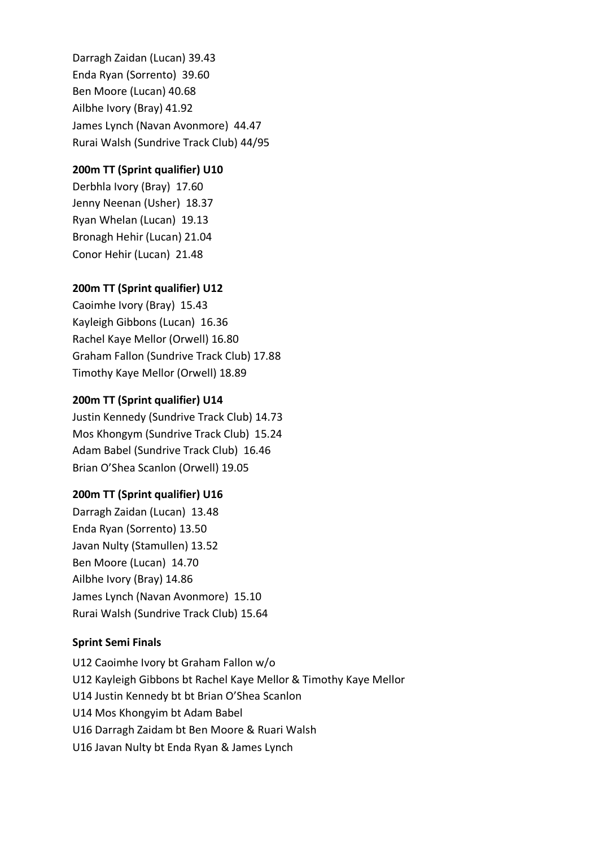Darragh Zaidan (Lucan) 39.43 Enda Ryan (Sorrento) 39.60 Ben Moore (Lucan) 40.68 Ailbhe Ivory (Bray) 41.92 James Lynch (Navan Avonmore) 44.47 Rurai Walsh (Sundrive Track Club) 44/95

### **200m TT (Sprint qualifier) U10**

Derbhla Ivory (Bray) 17.60 Jenny Neenan (Usher) 18.37 Ryan Whelan (Lucan) 19.13 Bronagh Hehir (Lucan) 21.04 Conor Hehir (Lucan) 21.48

### **200m TT (Sprint qualifier) U12**

Caoimhe Ivory (Bray) 15.43 Kayleigh Gibbons (Lucan) 16.36 Rachel Kaye Mellor (Orwell) 16.80 Graham Fallon (Sundrive Track Club) 17.88 Timothy Kaye Mellor (Orwell) 18.89

#### **200m TT (Sprint qualifier) U14**

Justin Kennedy (Sundrive Track Club) 14.73 Mos Khongym (Sundrive Track Club) 15.24 Adam Babel (Sundrive Track Club) 16.46 Brian O'Shea Scanlon (Orwell) 19.05

### **200m TT (Sprint qualifier) U16**

Darragh Zaidan (Lucan) 13.48 Enda Ryan (Sorrento) 13.50 Javan Nulty (Stamullen) 13.52 Ben Moore (Lucan) 14.70 Ailbhe Ivory (Bray) 14.86 James Lynch (Navan Avonmore) 15.10 Rurai Walsh (Sundrive Track Club) 15.64

#### **Sprint Semi Finals**

U12 Caoimhe Ivory bt Graham Fallon w/o U12 Kayleigh Gibbons bt Rachel Kaye Mellor & Timothy Kaye Mellor U14 Justin Kennedy bt bt Brian O'Shea Scanlon U14 Mos Khongyim bt Adam Babel U16 Darragh Zaidam bt Ben Moore & Ruari Walsh U16 Javan Nulty bt Enda Ryan & James Lynch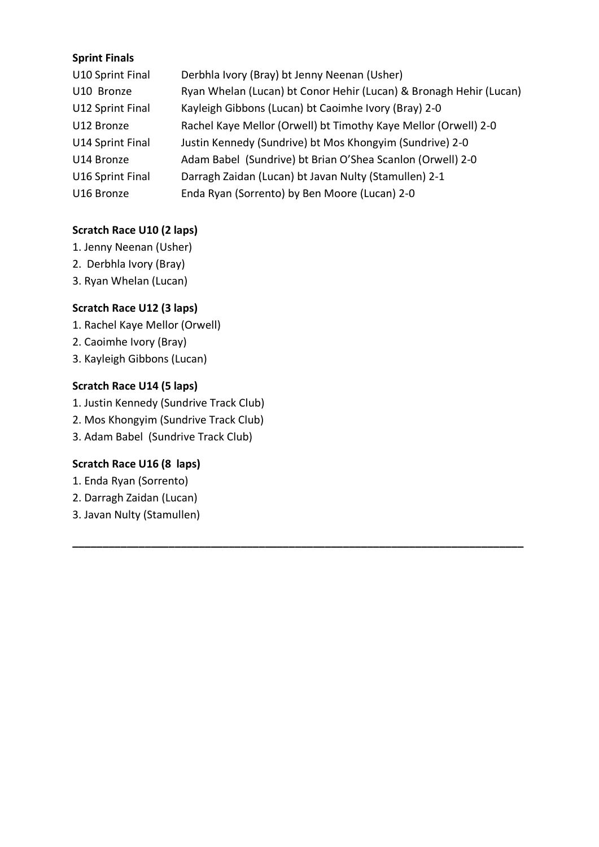# **Sprint Finals**

| U10 Sprint Final | Derbhla Ivory (Bray) bt Jenny Neenan (Usher)                       |
|------------------|--------------------------------------------------------------------|
| U10 Bronze       | Ryan Whelan (Lucan) bt Conor Hehir (Lucan) & Bronagh Hehir (Lucan) |
| U12 Sprint Final | Kayleigh Gibbons (Lucan) bt Caoimhe Ivory (Bray) 2-0               |
| U12 Bronze       | Rachel Kaye Mellor (Orwell) bt Timothy Kaye Mellor (Orwell) 2-0    |
| U14 Sprint Final | Justin Kennedy (Sundrive) bt Mos Khongyim (Sundrive) 2-0           |
| U14 Bronze       | Adam Babel (Sundrive) bt Brian O'Shea Scanlon (Orwell) 2-0         |
| U16 Sprint Final | Darragh Zaidan (Lucan) bt Javan Nulty (Stamullen) 2-1              |
| U16 Bronze       | Enda Ryan (Sorrento) by Ben Moore (Lucan) 2-0                      |

**\_\_\_\_\_\_\_\_\_\_\_\_\_\_\_\_\_\_\_\_\_\_\_\_\_\_\_\_\_\_\_\_\_\_\_\_\_\_\_\_\_\_\_\_\_\_\_\_\_\_\_\_\_\_\_\_\_\_\_\_\_\_\_\_\_\_\_\_\_\_\_\_\_\_\_**

# **Scratch Race U10 (2 laps)**

- 1. Jenny Neenan (Usher)
- 2. Derbhla Ivory (Bray)
- 3. Ryan Whelan (Lucan)

# **Scratch Race U12 (3 laps)**

- 1. Rachel Kaye Mellor (Orwell)
- 2. Caoimhe Ivory (Bray)
- 3. Kayleigh Gibbons (Lucan)

# **Scratch Race U14 (5 laps)**

- 1. Justin Kennedy (Sundrive Track Club)
- 2. Mos Khongyim (Sundrive Track Club)
- 3. Adam Babel (Sundrive Track Club)

# **Scratch Race U16 (8 laps)**

- 1. Enda Ryan (Sorrento)
- 2. Darragh Zaidan (Lucan)
- 3. Javan Nulty (Stamullen)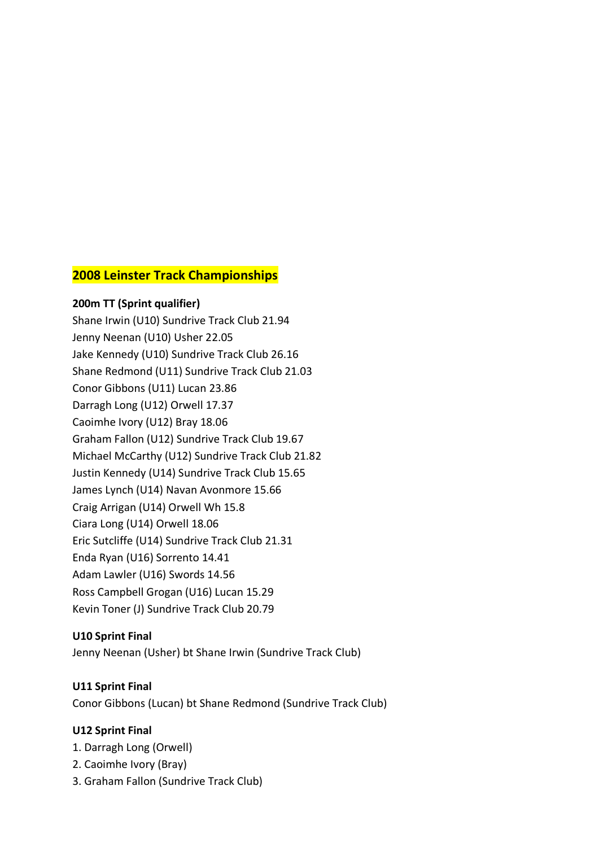# **2008 Leinster Track Championships**

**200m TT (Sprint qualifier)**  Shane Irwin (U10) Sundrive Track Club 21.94 Jenny Neenan (U10) Usher 22.05 Jake Kennedy (U10) Sundrive Track Club 26.16 Shane Redmond (U11) Sundrive Track Club 21.03 Conor Gibbons (U11) Lucan 23.86 Darragh Long (U12) Orwell 17.37 Caoimhe Ivory (U12) Bray 18.06 Graham Fallon (U12) Sundrive Track Club 19.67 Michael McCarthy (U12) Sundrive Track Club 21.82 Justin Kennedy (U14) Sundrive Track Club 15.65 James Lynch (U14) Navan Avonmore 15.66 Craig Arrigan (U14) Orwell Wh 15.8 Ciara Long (U14) Orwell 18.06 Eric Sutcliffe (U14) Sundrive Track Club 21.31 Enda Ryan (U16) Sorrento 14.41 Adam Lawler (U16) Swords 14.56 Ross Campbell Grogan (U16) Lucan 15.29 Kevin Toner (J) Sundrive Track Club 20.79

## **U10 Sprint Final**

Jenny Neenan (Usher) bt Shane Irwin (Sundrive Track Club)

## **U11 Sprint Final**

Conor Gibbons (Lucan) bt Shane Redmond (Sundrive Track Club)

### **U12 Sprint Final**

- 1. Darragh Long (Orwell)
- 2. Caoimhe Ivory (Bray)
- 3. Graham Fallon (Sundrive Track Club)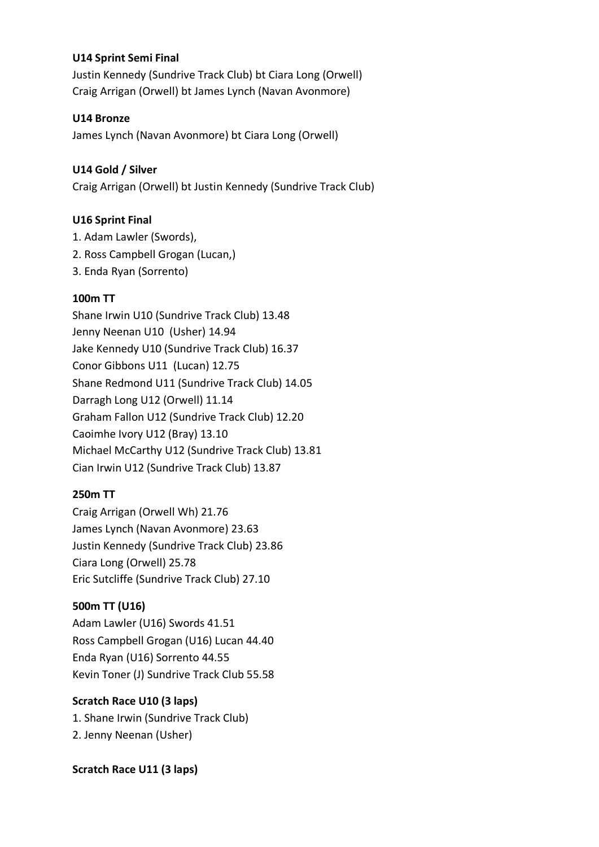# **U14 Sprint Semi Final**

Justin Kennedy (Sundrive Track Club) bt Ciara Long (Orwell) Craig Arrigan (Orwell) bt James Lynch (Navan Avonmore)

# **U14 Bronze**

James Lynch (Navan Avonmore) bt Ciara Long (Orwell)

# **U14 Gold / Silver**

Craig Arrigan (Orwell) bt Justin Kennedy (Sundrive Track Club)

# **U16 Sprint Final**

- 1. Adam Lawler (Swords),
- 2. Ross Campbell Grogan (Lucan,)
- 3. Enda Ryan (Sorrento)

# **100m TT**

Shane Irwin U10 (Sundrive Track Club) 13.48 Jenny Neenan U10 (Usher) 14.94 Jake Kennedy U10 (Sundrive Track Club) 16.37 Conor Gibbons U11 (Lucan) 12.75 Shane Redmond U11 (Sundrive Track Club) 14.05 Darragh Long U12 (Orwell) 11.14 Graham Fallon U12 (Sundrive Track Club) 12.20 Caoimhe Ivory U12 (Bray) 13.10 Michael McCarthy U12 (Sundrive Track Club) 13.81 Cian Irwin U12 (Sundrive Track Club) 13.87

# **250m TT**

Craig Arrigan (Orwell Wh) 21.76 James Lynch (Navan Avonmore) 23.63 Justin Kennedy (Sundrive Track Club) 23.86 Ciara Long (Orwell) 25.78 Eric Sutcliffe (Sundrive Track Club) 27.10

# **500m TT (U16)**

Adam Lawler (U16) Swords 41.51 Ross Campbell Grogan (U16) Lucan 44.40 Enda Ryan (U16) Sorrento 44.55 Kevin Toner (J) Sundrive Track Club 55.58

# **Scratch Race U10 (3 laps)**

1. Shane Irwin (Sundrive Track Club) 2. Jenny Neenan (Usher)

# **Scratch Race U11 (3 laps)**